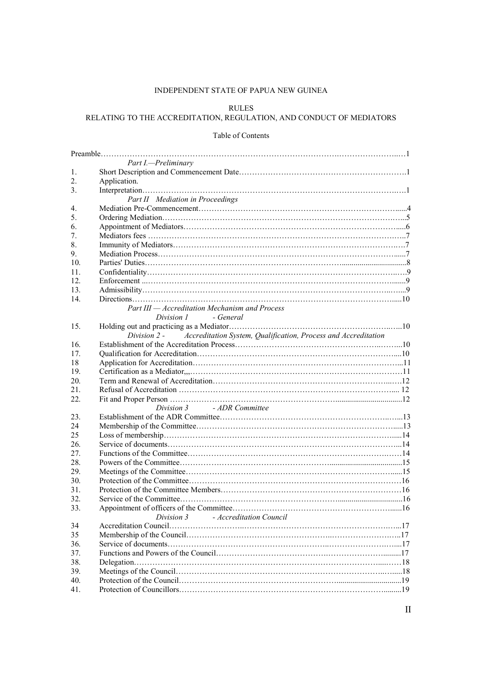## INDEPENDENT STATE OF PAPUA NEW GUINEA

#### RULES

# RELATING TO THE ACCREDITATION, REGULATION, AND CONDUCT OF MEDIATORS

#### Table of Contents

|                 | Part I.-Preliminary                                                            |  |  |  |  |
|-----------------|--------------------------------------------------------------------------------|--|--|--|--|
| 1.              |                                                                                |  |  |  |  |
| 2.              | Application.                                                                   |  |  |  |  |
| 3.              |                                                                                |  |  |  |  |
|                 | Part II Mediation in Proceedings                                               |  |  |  |  |
| 4.              |                                                                                |  |  |  |  |
| 5.              |                                                                                |  |  |  |  |
| 6.              |                                                                                |  |  |  |  |
| 7.              |                                                                                |  |  |  |  |
| 8.              |                                                                                |  |  |  |  |
| 9.              |                                                                                |  |  |  |  |
| 10 <sub>1</sub> |                                                                                |  |  |  |  |
| 11.             |                                                                                |  |  |  |  |
| 12.             |                                                                                |  |  |  |  |
| 13.             |                                                                                |  |  |  |  |
| 14.             |                                                                                |  |  |  |  |
|                 | Part III - Accreditation Mechanism and Process                                 |  |  |  |  |
|                 | Division 1 - General                                                           |  |  |  |  |
| 15.             |                                                                                |  |  |  |  |
|                 | Accreditation System, Qualification, Process and Accreditation<br>Division 2 - |  |  |  |  |
| 16.             |                                                                                |  |  |  |  |
| 17.             |                                                                                |  |  |  |  |
| 18              |                                                                                |  |  |  |  |
| 19.             |                                                                                |  |  |  |  |
| 20.             |                                                                                |  |  |  |  |
| 21.             |                                                                                |  |  |  |  |
| 22.             |                                                                                |  |  |  |  |
|                 | Division 3 - ADR Committee                                                     |  |  |  |  |
| 23.             |                                                                                |  |  |  |  |
| 24              |                                                                                |  |  |  |  |
| 25              |                                                                                |  |  |  |  |
| 26.             |                                                                                |  |  |  |  |
| 27.             |                                                                                |  |  |  |  |
| 28.             |                                                                                |  |  |  |  |
| 29.             |                                                                                |  |  |  |  |
| 30.             |                                                                                |  |  |  |  |
| 31.             |                                                                                |  |  |  |  |
| 32.             |                                                                                |  |  |  |  |
| 33.             |                                                                                |  |  |  |  |
|                 | Division 3 - Accreditation Council                                             |  |  |  |  |
| 34              |                                                                                |  |  |  |  |
| 35              |                                                                                |  |  |  |  |
| 36.             |                                                                                |  |  |  |  |
| 37.             |                                                                                |  |  |  |  |
| 38.             |                                                                                |  |  |  |  |
| 39.             |                                                                                |  |  |  |  |
| 40.             |                                                                                |  |  |  |  |
| 41.             |                                                                                |  |  |  |  |
|                 |                                                                                |  |  |  |  |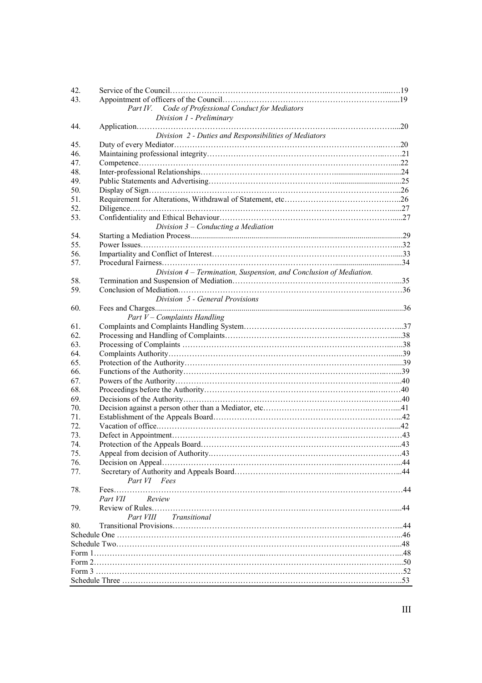| 42. |                                                                    |  |  |  |  |
|-----|--------------------------------------------------------------------|--|--|--|--|
| 43. |                                                                    |  |  |  |  |
|     | Part IV. Code of Professional Conduct for Mediators                |  |  |  |  |
|     | Division 1 - Preliminary                                           |  |  |  |  |
| 44. |                                                                    |  |  |  |  |
|     | Division 2 - Duties and Responsibilities of Mediators              |  |  |  |  |
| 45. |                                                                    |  |  |  |  |
| 46. |                                                                    |  |  |  |  |
| 47. |                                                                    |  |  |  |  |
| 48. |                                                                    |  |  |  |  |
| 49. |                                                                    |  |  |  |  |
| 50. |                                                                    |  |  |  |  |
| 51. |                                                                    |  |  |  |  |
| 52. |                                                                    |  |  |  |  |
| 53. |                                                                    |  |  |  |  |
|     | Division $3$ – Conducting a Mediation                              |  |  |  |  |
| 54. |                                                                    |  |  |  |  |
| 55. |                                                                    |  |  |  |  |
| 56. |                                                                    |  |  |  |  |
|     |                                                                    |  |  |  |  |
| 57. |                                                                    |  |  |  |  |
|     | Division 4 – Termination, Suspension, and Conclusion of Mediation. |  |  |  |  |
| 58. |                                                                    |  |  |  |  |
| 59. |                                                                    |  |  |  |  |
|     | Division 5 - General Provisions                                    |  |  |  |  |
| 60. |                                                                    |  |  |  |  |
|     | Part $V$ – Complaints Handling                                     |  |  |  |  |
| 61. |                                                                    |  |  |  |  |
| 62. |                                                                    |  |  |  |  |
| 63. |                                                                    |  |  |  |  |
| 64. |                                                                    |  |  |  |  |
| 65. |                                                                    |  |  |  |  |
| 66. |                                                                    |  |  |  |  |
| 67. |                                                                    |  |  |  |  |
| 68. |                                                                    |  |  |  |  |
| 69. |                                                                    |  |  |  |  |
| 70. |                                                                    |  |  |  |  |
| 71. |                                                                    |  |  |  |  |
| 72. |                                                                    |  |  |  |  |
| 73. |                                                                    |  |  |  |  |
| 74. |                                                                    |  |  |  |  |
| 75. |                                                                    |  |  |  |  |
| 76. |                                                                    |  |  |  |  |
| 77. |                                                                    |  |  |  |  |
|     | Part VI Fees                                                       |  |  |  |  |
| 78. |                                                                    |  |  |  |  |
|     | Review<br>Part VII                                                 |  |  |  |  |
| 79. |                                                                    |  |  |  |  |
|     | Part VIII Transitional                                             |  |  |  |  |
| 80. |                                                                    |  |  |  |  |
|     |                                                                    |  |  |  |  |
|     |                                                                    |  |  |  |  |
|     |                                                                    |  |  |  |  |
|     |                                                                    |  |  |  |  |
|     |                                                                    |  |  |  |  |
|     |                                                                    |  |  |  |  |
|     |                                                                    |  |  |  |  |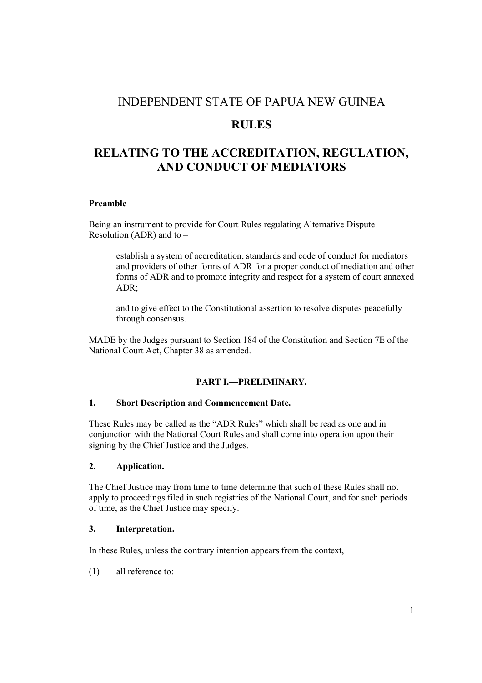# INDEPENDENT STATE OF PAPUA NEW GUINEA

# RULES

# RELATING TO THE ACCREDITATION, REGULATION, AND CONDUCT OF MEDIATORS

## Preamble

Being an instrument to provide for Court Rules regulating Alternative Dispute Resolution (ADR) and to –

establish a system of accreditation, standards and code of conduct for mediators and providers of other forms of ADR for a proper conduct of mediation and other forms of ADR and to promote integrity and respect for a system of court annexed ADR;

and to give effect to the Constitutional assertion to resolve disputes peacefully through consensus.

MADE by the Judges pursuant to Section 184 of the Constitution and Section 7E of the National Court Act, Chapter 38 as amended.

## PART I.—PRELIMINARY.

## 1. Short Description and Commencement Date.

These Rules may be called as the "ADR Rules" which shall be read as one and in conjunction with the National Court Rules and shall come into operation upon their signing by the Chief Justice and the Judges.

#### 2. Application.

The Chief Justice may from time to time determine that such of these Rules shall not apply to proceedings filed in such registries of the National Court, and for such periods of time, as the Chief Justice may specify.

## 3. Interpretation.

In these Rules, unless the contrary intention appears from the context,

(1) all reference to: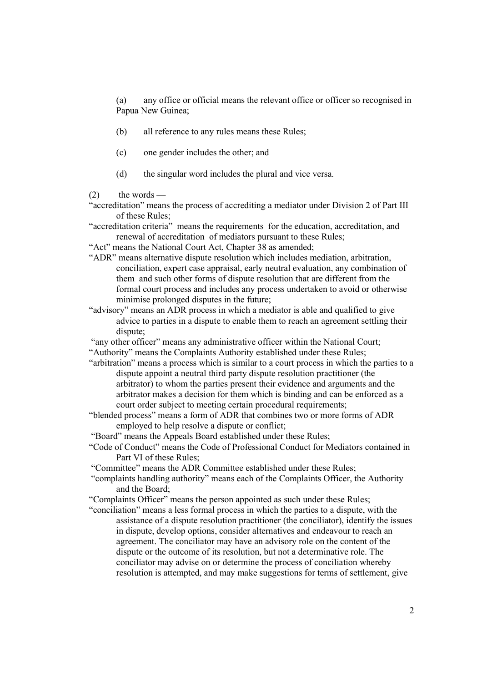(a) any office or official means the relevant office or officer so recognised in Papua New Guinea;

- (b) all reference to any rules means these Rules;
- (c) one gender includes the other; and
- (d) the singular word includes the plural and vice versa.
- $(2)$  the words —
- "accreditation" means the process of accrediting a mediator under Division 2 of Part III of these Rules;
- "accreditation criteria" means the requirements for the education, accreditation, and renewal of accreditation of mediators pursuant to these Rules;
- "Act" means the National Court Act, Chapter 38 as amended;
- "ADR" means alternative dispute resolution which includes mediation, arbitration, conciliation, expert case appraisal, early neutral evaluation, any combination of them and such other forms of dispute resolution that are different from the formal court process and includes any process undertaken to avoid or otherwise minimise prolonged disputes in the future;
- "advisory" means an ADR process in which a mediator is able and qualified to give advice to parties in a dispute to enable them to reach an agreement settling their dispute;
- "any other officer" means any administrative officer within the National Court;
- "Authority" means the Complaints Authority established under these Rules;
- "arbitration" means a process which is similar to a court process in which the parties to a dispute appoint a neutral third party dispute resolution practitioner (the arbitrator) to whom the parties present their evidence and arguments and the arbitrator makes a decision for them which is binding and can be enforced as a court order subject to meeting certain procedural requirements;
- "blended process" means a form of ADR that combines two or more forms of ADR employed to help resolve a dispute or conflict;
- "Board" means the Appeals Board established under these Rules;
- "Code of Conduct" means the Code of Professional Conduct for Mediators contained in Part VI of these Rules;
- "Committee" means the ADR Committee established under these Rules;
- "complaints handling authority" means each of the Complaints Officer, the Authority and the Board;
- "Complaints Officer" means the person appointed as such under these Rules;
- "conciliation" means a less formal process in which the parties to a dispute, with the assistance of a dispute resolution practitioner (the conciliator), identify the issues in dispute, develop options, consider alternatives and endeavour to reach an agreement. The conciliator may have an advisory role on the content of the dispute or the outcome of its resolution, but not a determinative role. The conciliator may advise on or determine the process of conciliation whereby resolution is attempted, and may make suggestions for terms of settlement, give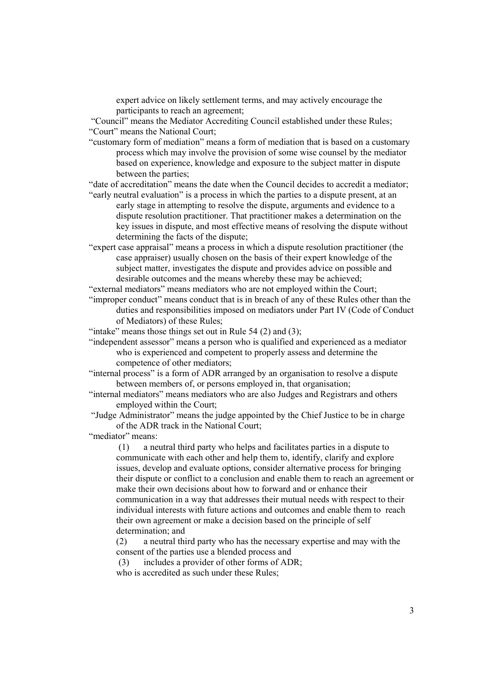expert advice on likely settlement terms, and may actively encourage the participants to reach an agreement;

 "Council" means the Mediator Accrediting Council established under these Rules; "Court" means the National Court;

"customary form of mediation" means a form of mediation that is based on a customary process which may involve the provision of some wise counsel by the mediator based on experience, knowledge and exposure to the subject matter in dispute between the parties;

"date of accreditation" means the date when the Council decides to accredit a mediator; "early neutral evaluation" is a process in which the parties to a dispute present, at an

- early stage in attempting to resolve the dispute, arguments and evidence to a dispute resolution practitioner. That practitioner makes a determination on the key issues in dispute, and most effective means of resolving the dispute without determining the facts of the dispute;
- "expert case appraisal" means a process in which a dispute resolution practitioner (the case appraiser) usually chosen on the basis of their expert knowledge of the subject matter, investigates the dispute and provides advice on possible and desirable outcomes and the means whereby these may be achieved;
- "external mediators" means mediators who are not employed within the Court;
- "improper conduct" means conduct that is in breach of any of these Rules other than the duties and responsibilities imposed on mediators under Part IV (Code of Conduct of Mediators) of these Rules;

"intake" means those things set out in Rule 54  $(2)$  and  $(3)$ ;

- "independent assessor" means a person who is qualified and experienced as a mediator who is experienced and competent to properly assess and determine the competence of other mediators;
- "internal process" is a form of ADR arranged by an organisation to resolve a dispute between members of, or persons employed in, that organisation;
- "internal mediators" means mediators who are also Judges and Registrars and others employed within the Court;

 "Judge Administrator" means the judge appointed by the Chief Justice to be in charge of the ADR track in the National Court;

"mediator" means:

(1) a neutral third party who helps and facilitates parties in a dispute to communicate with each other and help them to, identify, clarify and explore issues, develop and evaluate options, consider alternative process for bringing their dispute or conflict to a conclusion and enable them to reach an agreement or make their own decisions about how to forward and or enhance their communication in a way that addresses their mutual needs with respect to their individual interests with future actions and outcomes and enable them to reach their own agreement or make a decision based on the principle of self determination; and

(2) a neutral third party who has the necessary expertise and may with the consent of the parties use a blended process and

(3) includes a provider of other forms of ADR;

who is accredited as such under these Rules;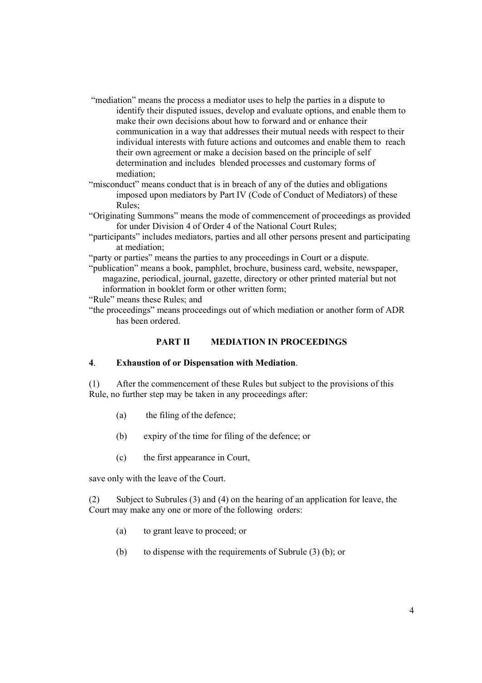- "mediation" means the process a mediator uses to help the parties in a dispute to identify their disputed issues, develop and evaluate options, and enable them to make their own decisions about how to forward and or enhance their communication in a way that addresses their mutual needs with respect to their individual interests with future actions and outcomes and enable them to reach their own agreement or make a decision based on the principle of self determination and includes blended processes and customary forms of mediation;
- "misconduct" means conduct that is in breach of any of the duties and obligations imposed upon mediators by Part IV (Code of Conduct of Mediators) of these Rules;
- "Originating Summons" means the mode of commencement of proceedings as provided for under Division 4 of Order 4 of the National Court Rules;
- "participants" includes mediators, parties and all other persons present and participating at mediation;
- "party or parties" means the parties to any proceedings in Court or a dispute.
- "publication" means a book, pamphlet, brochure, business card, website, newspaper, magazine, periodical, journal, gazette, directory or other printed material but not information in booklet form or other written form;

"Rule" means these Rules; and

"the proceedings" means proceedings out of which mediation or another form of ADR has been ordered.

#### PART II MEDIATION IN PROCEEDINGS

#### 4. Exhaustion of or Dispensation with Mediation.

(1) After the commencement of these Rules but subject to the provisions of this Rule, no further step may be taken in any proceedings after:

- (a) the filing of the defence;
- (b) expiry of the time for filing of the defence; or
- (c) the first appearance in Court,

save only with the leave of the Court.

(2) Subject to Subrules (3) and (4) on the hearing of an application for leave, the Court may make any one or more of the following orders:

- (a) to grant leave to proceed; or
- (b) to dispense with the requirements of Subrule (3) (b); or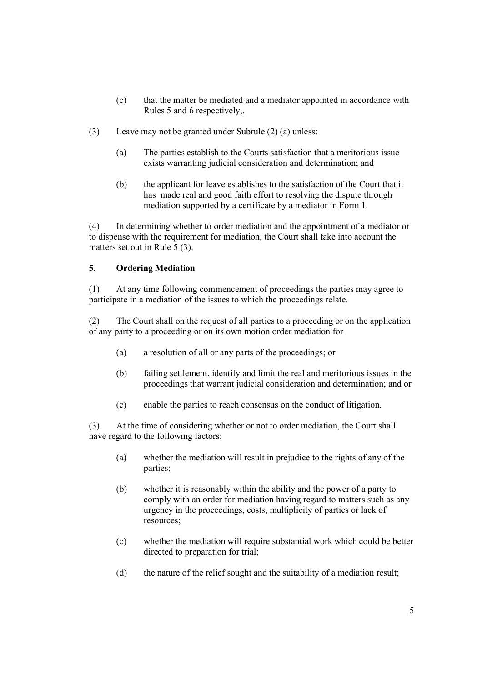- (c) that the matter be mediated and a mediator appointed in accordance with Rules 5 and 6 respectively,.
- (3) Leave may not be granted under Subrule (2) (a) unless:
	- (a) The parties establish to the Courts satisfaction that a meritorious issue exists warranting judicial consideration and determination; and
	- (b) the applicant for leave establishes to the satisfaction of the Court that it has made real and good faith effort to resolving the dispute through mediation supported by a certificate by a mediator in Form 1.

(4) In determining whether to order mediation and the appointment of a mediator or to dispense with the requirement for mediation, the Court shall take into account the matters set out in Rule 5 (3).

### 5. Ordering Mediation

(1) At any time following commencement of proceedings the parties may agree to participate in a mediation of the issues to which the proceedings relate.

(2) The Court shall on the request of all parties to a proceeding or on the application of any party to a proceeding or on its own motion order mediation for

- (a) a resolution of all or any parts of the proceedings; or
- (b) failing settlement, identify and limit the real and meritorious issues in the proceedings that warrant judicial consideration and determination; and or
- (c) enable the parties to reach consensus on the conduct of litigation.

(3) At the time of considering whether or not to order mediation, the Court shall have regard to the following factors:

- (a) whether the mediation will result in prejudice to the rights of any of the parties;
- (b) whether it is reasonably within the ability and the power of a party to comply with an order for mediation having regard to matters such as any urgency in the proceedings, costs, multiplicity of parties or lack of resources;
- (c) whether the mediation will require substantial work which could be better directed to preparation for trial;
- (d) the nature of the relief sought and the suitability of a mediation result;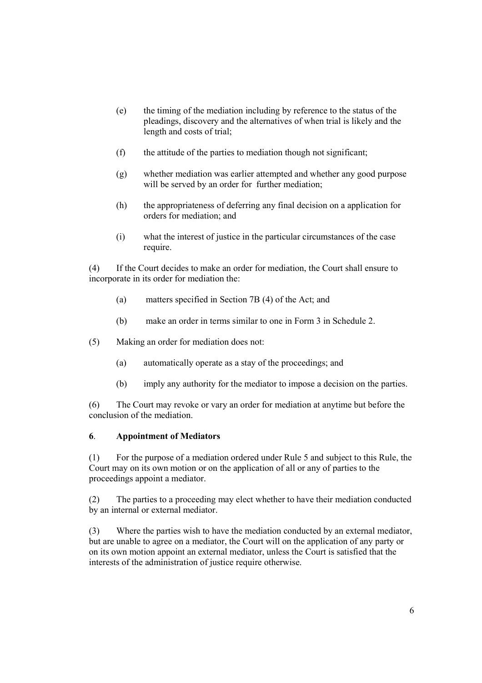- (e) the timing of the mediation including by reference to the status of the pleadings, discovery and the alternatives of when trial is likely and the length and costs of trial;
- (f) the attitude of the parties to mediation though not significant;
- (g) whether mediation was earlier attempted and whether any good purpose will be served by an order for further mediation:
- (h) the appropriateness of deferring any final decision on a application for orders for mediation; and
- (i) what the interest of justice in the particular circumstances of the case require.

(4) If the Court decides to make an order for mediation, the Court shall ensure to incorporate in its order for mediation the:

- (a) matters specified in Section 7B (4) of the Act; and
- (b) make an order in terms similar to one in Form 3 in Schedule 2.
- (5) Making an order for mediation does not:
	- (a) automatically operate as a stay of the proceedings; and
	- (b) imply any authority for the mediator to impose a decision on the parties.

(6) The Court may revoke or vary an order for mediation at anytime but before the conclusion of the mediation.

#### 6. Appointment of Mediators

(1) For the purpose of a mediation ordered under Rule 5 and subject to this Rule, the Court may on its own motion or on the application of all or any of parties to the proceedings appoint a mediator.

(2) The parties to a proceeding may elect whether to have their mediation conducted by an internal or external mediator.

(3) Where the parties wish to have the mediation conducted by an external mediator, but are unable to agree on a mediator, the Court will on the application of any party or on its own motion appoint an external mediator, unless the Court is satisfied that the interests of the administration of justice require otherwise.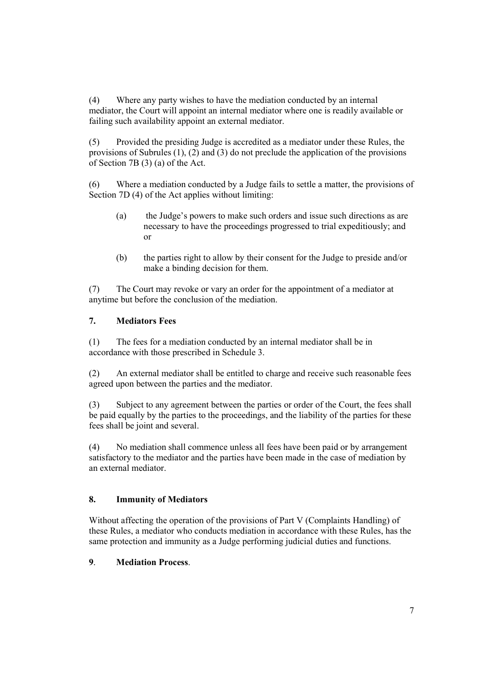(4) Where any party wishes to have the mediation conducted by an internal mediator, the Court will appoint an internal mediator where one is readily available or failing such availability appoint an external mediator.

(5) Provided the presiding Judge is accredited as a mediator under these Rules, the provisions of Subrules (1), (2) and (3) do not preclude the application of the provisions of Section 7B (3) (a) of the Act.

(6) Where a mediation conducted by a Judge fails to settle a matter, the provisions of Section 7D (4) of the Act applies without limiting:

- (a) the Judge's powers to make such orders and issue such directions as are necessary to have the proceedings progressed to trial expeditiously; and or
- (b) the parties right to allow by their consent for the Judge to preside and/or make a binding decision for them.

(7) The Court may revoke or vary an order for the appointment of a mediator at anytime but before the conclusion of the mediation.

## 7. Mediators Fees

(1) The fees for a mediation conducted by an internal mediator shall be in accordance with those prescribed in Schedule 3.

(2) An external mediator shall be entitled to charge and receive such reasonable fees agreed upon between the parties and the mediator.

(3) Subject to any agreement between the parties or order of the Court, the fees shall be paid equally by the parties to the proceedings, and the liability of the parties for these fees shall be joint and several.

(4) No mediation shall commence unless all fees have been paid or by arrangement satisfactory to the mediator and the parties have been made in the case of mediation by an external mediator.

## 8. Immunity of Mediators

Without affecting the operation of the provisions of Part V (Complaints Handling) of these Rules, a mediator who conducts mediation in accordance with these Rules, has the same protection and immunity as a Judge performing judicial duties and functions.

## 9. Mediation Process.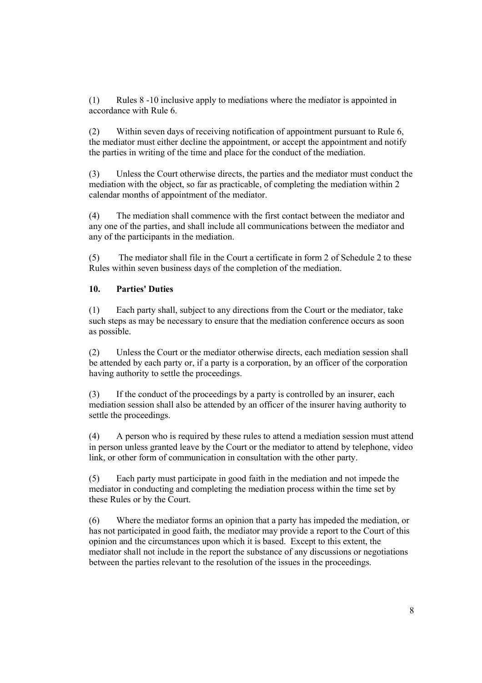(1) Rules 8 -10 inclusive apply to mediations where the mediator is appointed in accordance with Rule 6.

(2) Within seven days of receiving notification of appointment pursuant to Rule 6, the mediator must either decline the appointment, or accept the appointment and notify the parties in writing of the time and place for the conduct of the mediation.

(3) Unless the Court otherwise directs, the parties and the mediator must conduct the mediation with the object, so far as practicable, of completing the mediation within 2 calendar months of appointment of the mediator.

(4) The mediation shall commence with the first contact between the mediator and any one of the parties, and shall include all communications between the mediator and any of the participants in the mediation.

(5) The mediator shall file in the Court a certificate in form 2 of Schedule 2 to these Rules within seven business days of the completion of the mediation.

## 10. Parties' Duties

(1) Each party shall, subject to any directions from the Court or the mediator, take such steps as may be necessary to ensure that the mediation conference occurs as soon as possible.

(2) Unless the Court or the mediator otherwise directs, each mediation session shall be attended by each party or, if a party is a corporation, by an officer of the corporation having authority to settle the proceedings.

(3) If the conduct of the proceedings by a party is controlled by an insurer, each mediation session shall also be attended by an officer of the insurer having authority to settle the proceedings.

(4) A person who is required by these rules to attend a mediation session must attend in person unless granted leave by the Court or the mediator to attend by telephone, video link, or other form of communication in consultation with the other party.

(5) Each party must participate in good faith in the mediation and not impede the mediator in conducting and completing the mediation process within the time set by these Rules or by the Court.

(6) Where the mediator forms an opinion that a party has impeded the mediation, or has not participated in good faith, the mediator may provide a report to the Court of this opinion and the circumstances upon which it is based. Except to this extent, the mediator shall not include in the report the substance of any discussions or negotiations between the parties relevant to the resolution of the issues in the proceedings.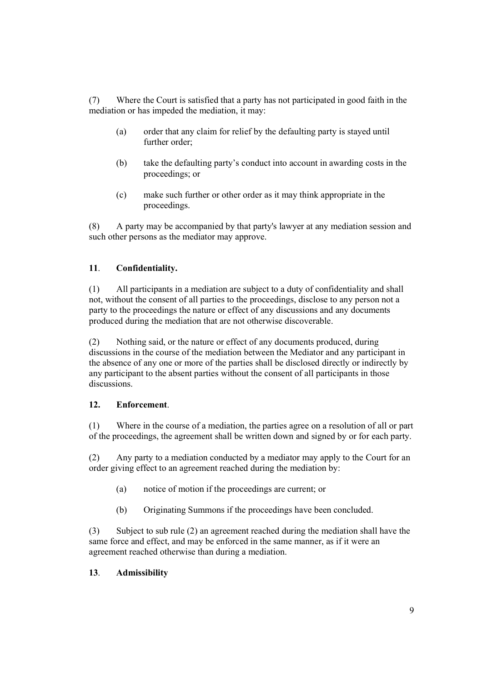(7) Where the Court is satisfied that a party has not participated in good faith in the mediation or has impeded the mediation, it may:

- (a) order that any claim for relief by the defaulting party is stayed until further order;
- (b) take the defaulting party's conduct into account in awarding costs in the proceedings; or
- (c) make such further or other order as it may think appropriate in the proceedings.

(8) A party may be accompanied by that party's lawyer at any mediation session and such other persons as the mediator may approve.

## 11. Confidentiality.

(1) All participants in a mediation are subject to a duty of confidentiality and shall not, without the consent of all parties to the proceedings, disclose to any person not a party to the proceedings the nature or effect of any discussions and any documents produced during the mediation that are not otherwise discoverable.

(2) Nothing said, or the nature or effect of any documents produced, during discussions in the course of the mediation between the Mediator and any participant in the absence of any one or more of the parties shall be disclosed directly or indirectly by any participant to the absent parties without the consent of all participants in those discussions.

## 12. Enforcement.

(1) Where in the course of a mediation, the parties agree on a resolution of all or part of the proceedings, the agreement shall be written down and signed by or for each party.

(2) Any party to a mediation conducted by a mediator may apply to the Court for an order giving effect to an agreement reached during the mediation by:

- (a) notice of motion if the proceedings are current; or
- (b) Originating Summons if the proceedings have been concluded.

(3) Subject to sub rule (2) an agreement reached during the mediation shall have the same force and effect, and may be enforced in the same manner, as if it were an agreement reached otherwise than during a mediation.

#### 13. Admissibility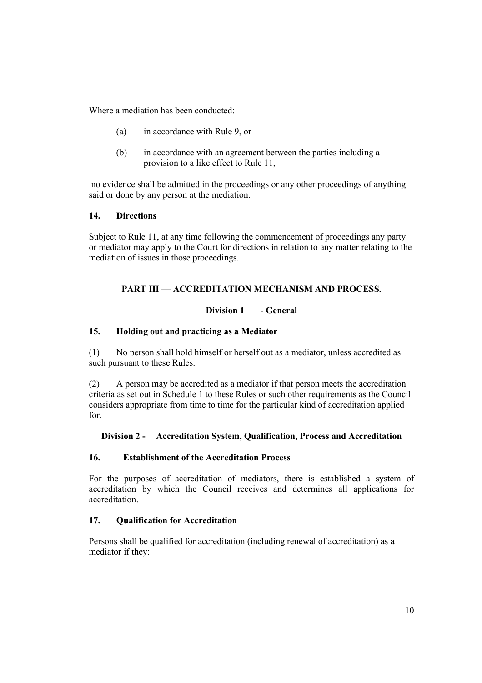Where a mediation has been conducted:

- (a) in accordance with Rule 9, or
- (b) in accordance with an agreement between the parties including a provision to a like effect to Rule 11,

 no evidence shall be admitted in the proceedings or any other proceedings of anything said or done by any person at the mediation.

### 14. Directions

Subject to Rule 11, at any time following the commencement of proceedings any party or mediator may apply to the Court for directions in relation to any matter relating to the mediation of issues in those proceedings.

## PART III — ACCREDITATION MECHANISM AND PROCESS.

#### Division 1 - General

### 15. Holding out and practicing as a Mediator

(1) No person shall hold himself or herself out as a mediator, unless accredited as such pursuant to these Rules.

(2) A person may be accredited as a mediator if that person meets the accreditation criteria as set out in Schedule 1 to these Rules or such other requirements as the Council considers appropriate from time to time for the particular kind of accreditation applied for.

## Division 2 - Accreditation System, Qualification, Process and Accreditation

### 16. Establishment of the Accreditation Process

For the purposes of accreditation of mediators, there is established a system of accreditation by which the Council receives and determines all applications for accreditation.

#### 17. Qualification for Accreditation

Persons shall be qualified for accreditation (including renewal of accreditation) as a mediator if they: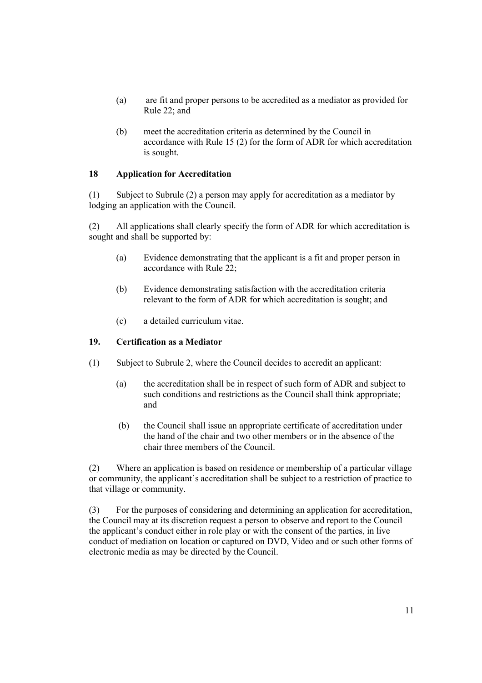- (a) are fit and proper persons to be accredited as a mediator as provided for Rule 22; and
- (b) meet the accreditation criteria as determined by the Council in accordance with Rule 15 (2) for the form of ADR for which accreditation is sought.

# 18 Application for Accreditation

(1) Subject to Subrule (2) a person may apply for accreditation as a mediator by lodging an application with the Council.

(2) All applications shall clearly specify the form of ADR for which accreditation is sought and shall be supported by:

- (a) Evidence demonstrating that the applicant is a fit and proper person in accordance with Rule 22;
- (b) Evidence demonstrating satisfaction with the accreditation criteria relevant to the form of ADR for which accreditation is sought; and
- (c) a detailed curriculum vitae.

## 19. Certification as a Mediator

- (1) Subject to Subrule 2, where the Council decides to accredit an applicant:
	- (a) the accreditation shall be in respect of such form of ADR and subject to such conditions and restrictions as the Council shall think appropriate; and
	- (b) the Council shall issue an appropriate certificate of accreditation under the hand of the chair and two other members or in the absence of the chair three members of the Council.

(2) Where an application is based on residence or membership of a particular village or community, the applicant's accreditation shall be subject to a restriction of practice to that village or community.

(3) For the purposes of considering and determining an application for accreditation, the Council may at its discretion request a person to observe and report to the Council the applicant's conduct either in role play or with the consent of the parties, in live conduct of mediation on location or captured on DVD, Video and or such other forms of electronic media as may be directed by the Council.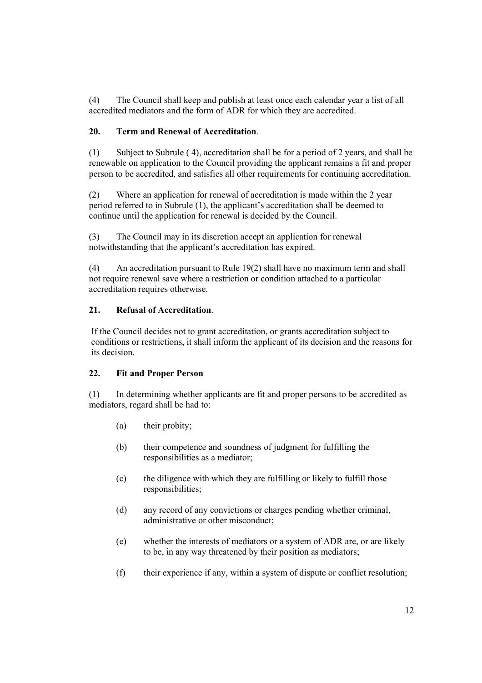(4) The Council shall keep and publish at least once each calendar year a list of all accredited mediators and the form of ADR for which they are accredited.

## 20. Term and Renewal of Accreditation.

(1) Subject to Subrule ( 4), accreditation shall be for a period of 2 years, and shall be renewable on application to the Council providing the applicant remains a fit and proper person to be accredited, and satisfies all other requirements for continuing accreditation.

(2) Where an application for renewal of accreditation is made within the 2 year period referred to in Subrule (1), the applicant's accreditation shall be deemed to continue until the application for renewal is decided by the Council.

(3) The Council may in its discretion accept an application for renewal notwithstanding that the applicant's accreditation has expired.

(4) An accreditation pursuant to Rule 19(2) shall have no maximum term and shall not require renewal save where a restriction or condition attached to a particular accreditation requires otherwise.

### 21. Refusal of Accreditation.

If the Council decides not to grant accreditation, or grants accreditation subject to conditions or restrictions, it shall inform the applicant of its decision and the reasons for its decision.

#### 22. Fit and Proper Person

(1) In determining whether applicants are fit and proper persons to be accredited as mediators, regard shall be had to:

- (a) their probity;
- (b) their competence and soundness of judgment for fulfilling the responsibilities as a mediator;
- (c) the diligence with which they are fulfilling or likely to fulfill those responsibilities;
- (d) any record of any convictions or charges pending whether criminal, administrative or other misconduct;
- (e) whether the interests of mediators or a system of ADR are, or are likely to be, in any way threatened by their position as mediators;
- (f) their experience if any, within a system of dispute or conflict resolution;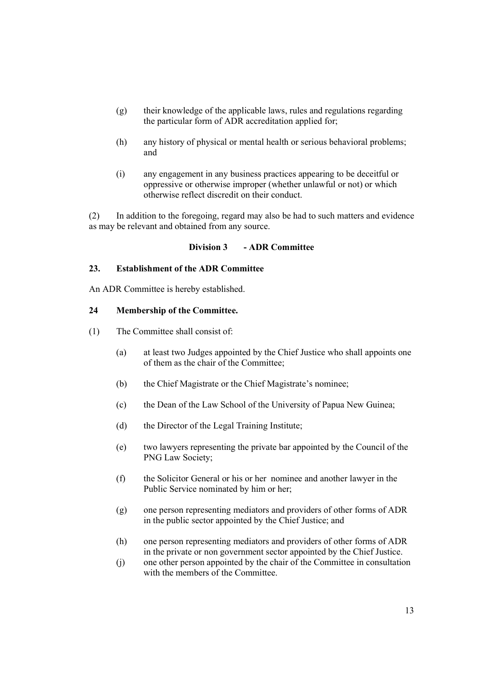- (g) their knowledge of the applicable laws, rules and regulations regarding the particular form of ADR accreditation applied for;
- (h) any history of physical or mental health or serious behavioral problems; and
- (i) any engagement in any business practices appearing to be deceitful or oppressive or otherwise improper (whether unlawful or not) or which otherwise reflect discredit on their conduct.

(2) In addition to the foregoing, regard may also be had to such matters and evidence as may be relevant and obtained from any source.

#### Division 3 - ADR Committee

## 23. Establishment of the ADR Committee

An ADR Committee is hereby established.

#### 24 Membership of the Committee.

- (1) The Committee shall consist of:
	- (a) at least two Judges appointed by the Chief Justice who shall appoints one of them as the chair of the Committee;
	- (b) the Chief Magistrate or the Chief Magistrate's nominee;
	- (c) the Dean of the Law School of the University of Papua New Guinea;
	- (d) the Director of the Legal Training Institute;
	- (e) two lawyers representing the private bar appointed by the Council of the PNG Law Society;
	- (f) the Solicitor General or his or her nominee and another lawyer in the Public Service nominated by him or her;
	- (g) one person representing mediators and providers of other forms of ADR in the public sector appointed by the Chief Justice; and
	- (h) one person representing mediators and providers of other forms of ADR in the private or non government sector appointed by the Chief Justice.
	- (j) one other person appointed by the chair of the Committee in consultation with the members of the Committee.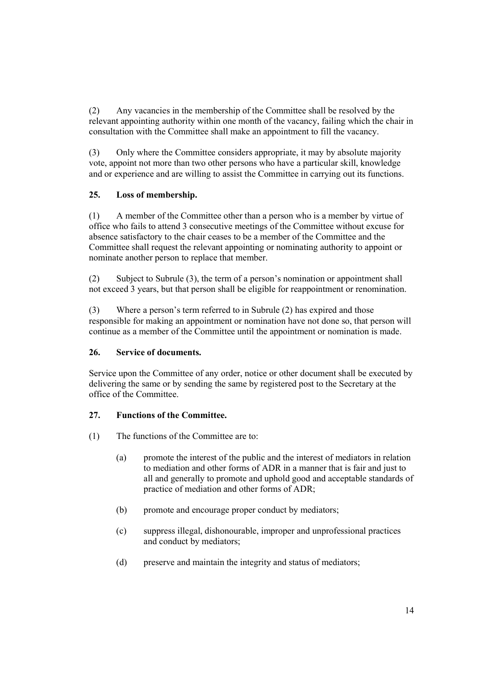(2) Any vacancies in the membership of the Committee shall be resolved by the relevant appointing authority within one month of the vacancy, failing which the chair in consultation with the Committee shall make an appointment to fill the vacancy.

(3) Only where the Committee considers appropriate, it may by absolute majority vote, appoint not more than two other persons who have a particular skill, knowledge and or experience and are willing to assist the Committee in carrying out its functions.

## 25. Loss of membership.

(1) A member of the Committee other than a person who is a member by virtue of office who fails to attend 3 consecutive meetings of the Committee without excuse for absence satisfactory to the chair ceases to be a member of the Committee and the Committee shall request the relevant appointing or nominating authority to appoint or nominate another person to replace that member.

(2) Subject to Subrule (3), the term of a person's nomination or appointment shall not exceed 3 years, but that person shall be eligible for reappointment or renomination.

(3) Where a person's term referred to in Subrule (2) has expired and those responsible for making an appointment or nomination have not done so, that person will continue as a member of the Committee until the appointment or nomination is made.

## 26. Service of documents.

Service upon the Committee of any order, notice or other document shall be executed by delivering the same or by sending the same by registered post to the Secretary at the office of the Committee.

## 27. Functions of the Committee.

- (1) The functions of the Committee are to:
	- (a) promote the interest of the public and the interest of mediators in relation to mediation and other forms of ADR in a manner that is fair and just to all and generally to promote and uphold good and acceptable standards of practice of mediation and other forms of ADR;
	- (b) promote and encourage proper conduct by mediators;
	- (c) suppress illegal, dishonourable, improper and unprofessional practices and conduct by mediators;
	- (d) preserve and maintain the integrity and status of mediators;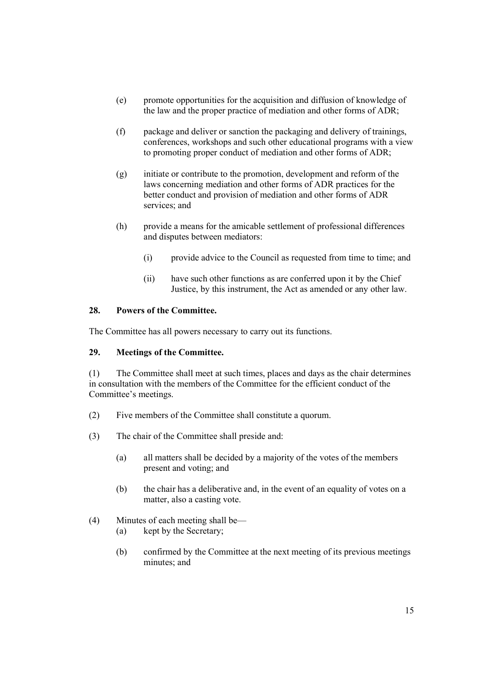- (e) promote opportunities for the acquisition and diffusion of knowledge of the law and the proper practice of mediation and other forms of ADR;
- (f) package and deliver or sanction the packaging and delivery of trainings, conferences, workshops and such other educational programs with a view to promoting proper conduct of mediation and other forms of ADR;
- (g) initiate or contribute to the promotion, development and reform of the laws concerning mediation and other forms of ADR practices for the better conduct and provision of mediation and other forms of ADR services; and
- (h) provide a means for the amicable settlement of professional differences and disputes between mediators:
	- (i) provide advice to the Council as requested from time to time; and
	- (ii) have such other functions as are conferred upon it by the Chief Justice, by this instrument, the Act as amended or any other law.

### 28. Powers of the Committee.

The Committee has all powers necessary to carry out its functions.

## 29. Meetings of the Committee.

(1) The Committee shall meet at such times, places and days as the chair determines in consultation with the members of the Committee for the efficient conduct of the Committee's meetings.

- (2) Five members of the Committee shall constitute a quorum.
- (3) The chair of the Committee shall preside and:
	- (a) all matters shall be decided by a majority of the votes of the members present and voting; and
	- (b) the chair has a deliberative and, in the event of an equality of votes on a matter, also a casting vote.
- (4) Minutes of each meeting shall be—
	- (a) kept by the Secretary;
	- (b) confirmed by the Committee at the next meeting of its previous meetings minutes; and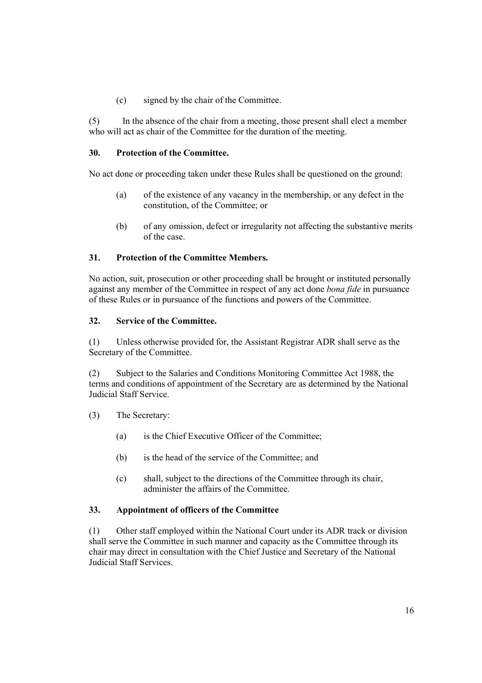(c) signed by the chair of the Committee.

(5) In the absence of the chair from a meeting, those present shall elect a member who will act as chair of the Committee for the duration of the meeting.

## 30. Protection of the Committee.

No act done or proceeding taken under these Rules shall be questioned on the ground:

- (a) of the existence of any vacancy in the membership, or any defect in the constitution, of the Committee; or
- (b) of any omission, defect or irregularity not affecting the substantive merits of the case.

## 31. Protection of the Committee Members.

No action, suit, prosecution or other proceeding shall be brought or instituted personally against any member of the Committee in respect of any act done *bona fide* in pursuance of these Rules or in pursuance of the functions and powers of the Committee.

## 32. Service of the Committee.

(1) Unless otherwise provided for, the Assistant Registrar ADR shall serve as the Secretary of the Committee.

(2) Subject to the Salaries and Conditions Monitoring Committee Act 1988, the terms and conditions of appointment of the Secretary are as determined by the National Judicial Staff Service.

- (3) The Secretary:
	- (a) is the Chief Executive Officer of the Committee;
	- (b) is the head of the service of the Committee; and
	- (c) shall, subject to the directions of the Committee through its chair, administer the affairs of the Committee.

## 33. Appointment of officers of the Committee

(1) Other staff employed within the National Court under its ADR track or division shall serve the Committee in such manner and capacity as the Committee through its chair may direct in consultation with the Chief Justice and Secretary of the National Judicial Staff Services.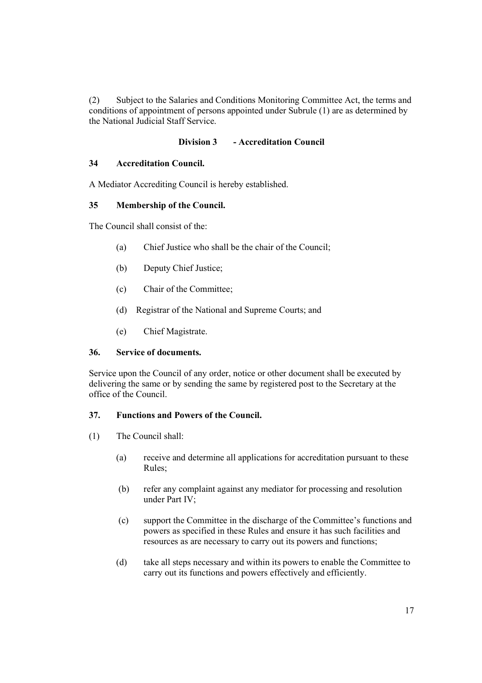(2) Subject to the Salaries and Conditions Monitoring Committee Act, the terms and conditions of appointment of persons appointed under Subrule (1) are as determined by the National Judicial Staff Service.

# Division 3 - Accreditation Council

## 34 Accreditation Council.

A Mediator Accrediting Council is hereby established.

# 35 Membership of the Council.

The Council shall consist of the:

- (a) Chief Justice who shall be the chair of the Council;
- (b) Deputy Chief Justice;
- (c) Chair of the Committee;
- (d) Registrar of the National and Supreme Courts; and
- (e) Chief Magistrate.

## 36. Service of documents.

Service upon the Council of any order, notice or other document shall be executed by delivering the same or by sending the same by registered post to the Secretary at the office of the Council.

# 37. Functions and Powers of the Council.

- (1) The Council shall:
	- (a) receive and determine all applications for accreditation pursuant to these Rules;
	- (b) refer any complaint against any mediator for processing and resolution under Part IV;
	- (c) support the Committee in the discharge of the Committee's functions and powers as specified in these Rules and ensure it has such facilities and resources as are necessary to carry out its powers and functions;
	- (d) take all steps necessary and within its powers to enable the Committee to carry out its functions and powers effectively and efficiently.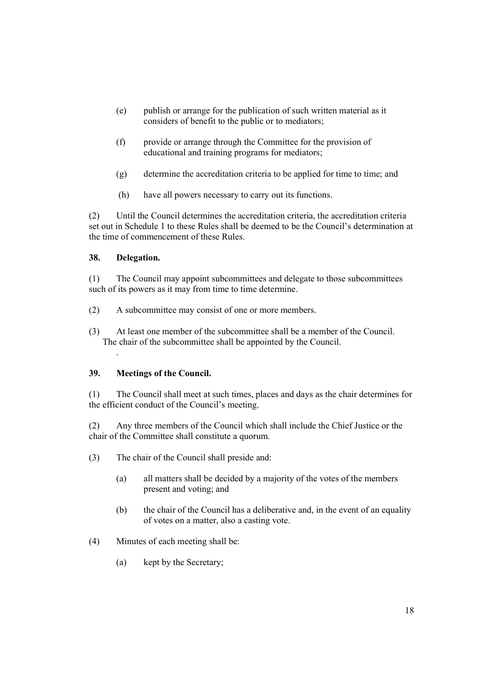- (e) publish or arrange for the publication of such written material as it considers of benefit to the public or to mediators;
- (f) provide or arrange through the Committee for the provision of educational and training programs for mediators;
- (g) determine the accreditation criteria to be applied for time to time; and
- (h) have all powers necessary to carry out its functions.

(2) Until the Council determines the accreditation criteria, the accreditation criteria set out in Schedule 1 to these Rules shall be deemed to be the Council's determination at the time of commencement of these Rules.

### 38. Delegation.

.

(1) The Council may appoint subcommittees and delegate to those subcommittees such of its powers as it may from time to time determine.

- (2) A subcommittee may consist of one or more members.
- (3) At least one member of the subcommittee shall be a member of the Council. The chair of the subcommittee shall be appointed by the Council.

#### 39. Meetings of the Council.

(1) The Council shall meet at such times, places and days as the chair determines for the efficient conduct of the Council's meeting.

(2) Any three members of the Council which shall include the Chief Justice or the chair of the Committee shall constitute a quorum.

- (3) The chair of the Council shall preside and:
	- (a) all matters shall be decided by a majority of the votes of the members present and voting; and
	- (b) the chair of the Council has a deliberative and, in the event of an equality of votes on a matter, also a casting vote.
- (4) Minutes of each meeting shall be:
	- (a) kept by the Secretary;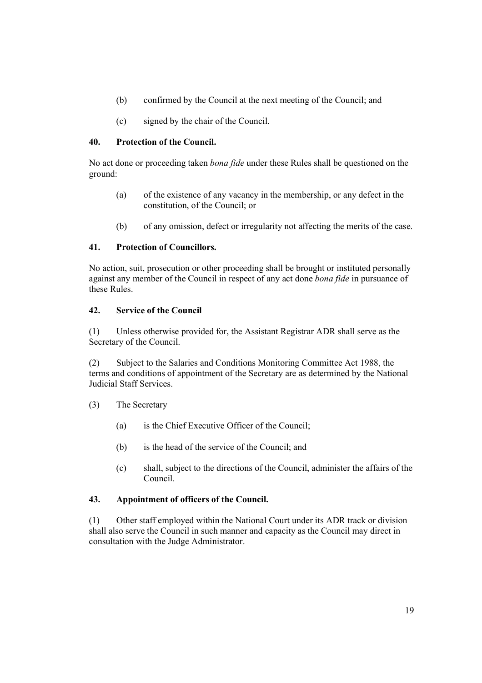- (b) confirmed by the Council at the next meeting of the Council; and
- (c) signed by the chair of the Council.

## 40. Protection of the Council.

No act done or proceeding taken bona fide under these Rules shall be questioned on the ground:

- (a) of the existence of any vacancy in the membership, or any defect in the constitution, of the Council; or
- (b) of any omission, defect or irregularity not affecting the merits of the case.

# 41. Protection of Councillors.

No action, suit, prosecution or other proceeding shall be brought or instituted personally against any member of the Council in respect of any act done bona fide in pursuance of these Rules.

## 42. Service of the Council

(1) Unless otherwise provided for, the Assistant Registrar ADR shall serve as the Secretary of the Council.

(2) Subject to the Salaries and Conditions Monitoring Committee Act 1988, the terms and conditions of appointment of the Secretary are as determined by the National Judicial Staff Services.

## (3) The Secretary

- (a) is the Chief Executive Officer of the Council;
- (b) is the head of the service of the Council; and
- (c) shall, subject to the directions of the Council, administer the affairs of the Council.

## 43. Appointment of officers of the Council.

(1) Other staff employed within the National Court under its ADR track or division shall also serve the Council in such manner and capacity as the Council may direct in consultation with the Judge Administrator.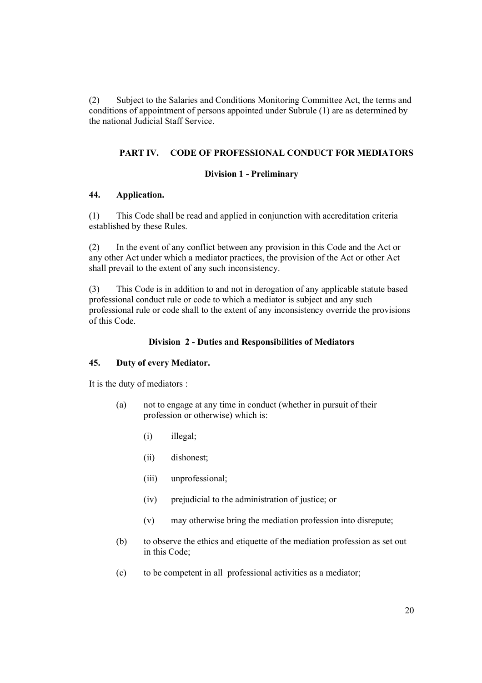(2) Subject to the Salaries and Conditions Monitoring Committee Act, the terms and conditions of appointment of persons appointed under Subrule (1) are as determined by the national Judicial Staff Service.

## PART IV. CODE OF PROFESSIONAL CONDUCT FOR MEDIATORS

#### Division 1 - Preliminary

## 44. Application.

(1) This Code shall be read and applied in conjunction with accreditation criteria established by these Rules.

(2) In the event of any conflict between any provision in this Code and the Act or any other Act under which a mediator practices, the provision of the Act or other Act shall prevail to the extent of any such inconsistency.

(3) This Code is in addition to and not in derogation of any applicable statute based professional conduct rule or code to which a mediator is subject and any such professional rule or code shall to the extent of any inconsistency override the provisions of this Code.

#### Division 2 - Duties and Responsibilities of Mediators

#### 45. Duty of every Mediator.

It is the duty of mediators :

- (a) not to engage at any time in conduct (whether in pursuit of their profession or otherwise) which is:
	- (i) illegal;
	- (ii) dishonest;
	- (iii) unprofessional;
	- (iv) prejudicial to the administration of justice; or
	- (v) may otherwise bring the mediation profession into disrepute;
- (b) to observe the ethics and etiquette of the mediation profession as set out in this Code;
- (c) to be competent in all professional activities as a mediator;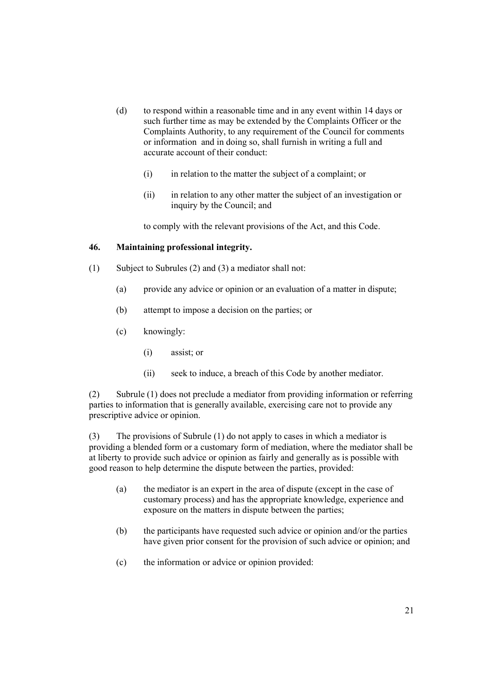- (d) to respond within a reasonable time and in any event within 14 days or such further time as may be extended by the Complaints Officer or the Complaints Authority, to any requirement of the Council for comments or information and in doing so, shall furnish in writing a full and accurate account of their conduct:
	- (i) in relation to the matter the subject of a complaint; or
	- (ii) in relation to any other matter the subject of an investigation or inquiry by the Council; and

to comply with the relevant provisions of the Act, and this Code.

### 46. Maintaining professional integrity.

- (1) Subject to Subrules (2) and (3) a mediator shall not:
	- (a) provide any advice or opinion or an evaluation of a matter in dispute;
	- (b) attempt to impose a decision on the parties; or
	- (c) knowingly:
		- (i) assist; or
		- (ii) seek to induce, a breach of this Code by another mediator.

(2) Subrule (1) does not preclude a mediator from providing information or referring parties to information that is generally available, exercising care not to provide any prescriptive advice or opinion.

(3) The provisions of Subrule (1) do not apply to cases in which a mediator is providing a blended form or a customary form of mediation, where the mediator shall be at liberty to provide such advice or opinion as fairly and generally as is possible with good reason to help determine the dispute between the parties, provided:

- (a) the mediator is an expert in the area of dispute (except in the case of customary process) and has the appropriate knowledge, experience and exposure on the matters in dispute between the parties;
- (b) the participants have requested such advice or opinion and/or the parties have given prior consent for the provision of such advice or opinion; and
- (c) the information or advice or opinion provided: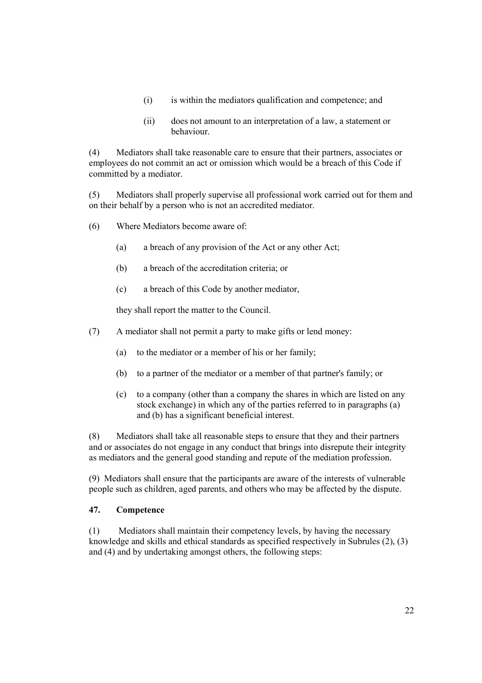- (i) is within the mediators qualification and competence; and
- (ii) does not amount to an interpretation of a law, a statement or behaviour.

(4) Mediators shall take reasonable care to ensure that their partners, associates or employees do not commit an act or omission which would be a breach of this Code if committed by a mediator.

(5) Mediators shall properly supervise all professional work carried out for them and on their behalf by a person who is not an accredited mediator.

- (6) Where Mediators become aware of:
	- (a) a breach of any provision of the Act or any other Act;
	- (b) a breach of the accreditation criteria; or
	- (c) a breach of this Code by another mediator,

they shall report the matter to the Council.

- (7) A mediator shall not permit a party to make gifts or lend money:
	- (a) to the mediator or a member of his or her family;
	- (b) to a partner of the mediator or a member of that partner's family; or
	- (c) to a company (other than a company the shares in which are listed on any stock exchange) in which any of the parties referred to in paragraphs (a) and (b) has a significant beneficial interest.

(8) Mediators shall take all reasonable steps to ensure that they and their partners and or associates do not engage in any conduct that brings into disrepute their integrity as mediators and the general good standing and repute of the mediation profession.

(9) Mediators shall ensure that the participants are aware of the interests of vulnerable people such as children, aged parents, and others who may be affected by the dispute.

## 47. Competence

(1) Mediators shall maintain their competency levels, by having the necessary knowledge and skills and ethical standards as specified respectively in Subrules (2), (3) and (4) and by undertaking amongst others, the following steps: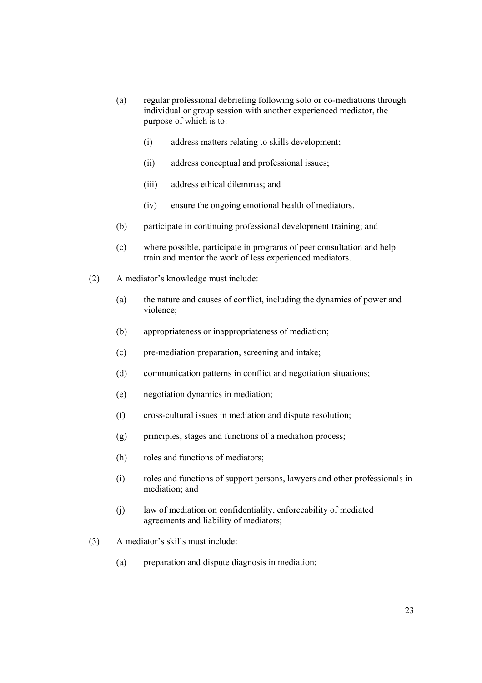- (a) regular professional debriefing following solo or co-mediations through individual or group session with another experienced mediator, the purpose of which is to:
	- (i) address matters relating to skills development;
	- (ii) address conceptual and professional issues;
	- (iii) address ethical dilemmas; and
	- (iv) ensure the ongoing emotional health of mediators.
- (b) participate in continuing professional development training; and
- (c) where possible, participate in programs of peer consultation and help train and mentor the work of less experienced mediators.
- (2) A mediator's knowledge must include:
	- (a) the nature and causes of conflict, including the dynamics of power and violence;
	- (b) appropriateness or inappropriateness of mediation;
	- (c) pre-mediation preparation, screening and intake;
	- (d) communication patterns in conflict and negotiation situations;
	- (e) negotiation dynamics in mediation;
	- (f) cross-cultural issues in mediation and dispute resolution;
	- (g) principles, stages and functions of a mediation process;
	- (h) roles and functions of mediators;
	- (i) roles and functions of support persons, lawyers and other professionals in mediation; and
	- (j) law of mediation on confidentiality, enforceability of mediated agreements and liability of mediators;
- (3) A mediator's skills must include:
	- (a) preparation and dispute diagnosis in mediation;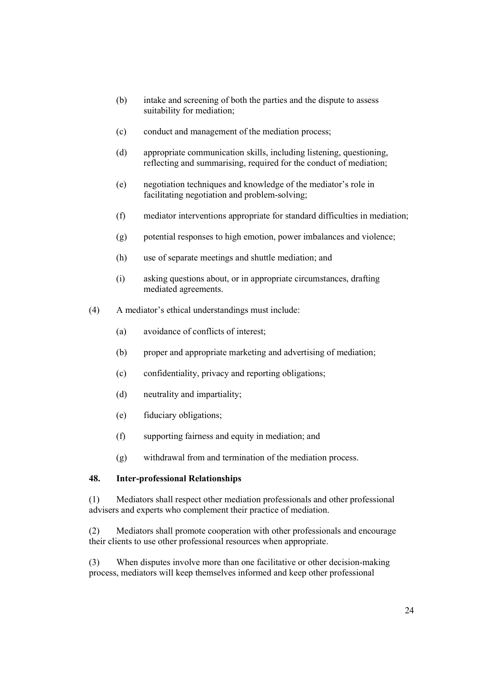- (b) intake and screening of both the parties and the dispute to assess suitability for mediation;
- (c) conduct and management of the mediation process;
- (d) appropriate communication skills, including listening, questioning, reflecting and summarising, required for the conduct of mediation;
- (e) negotiation techniques and knowledge of the mediator's role in facilitating negotiation and problem-solving;
- (f) mediator interventions appropriate for standard difficulties in mediation;
- (g) potential responses to high emotion, power imbalances and violence;
- (h) use of separate meetings and shuttle mediation; and
- (i) asking questions about, or in appropriate circumstances, drafting mediated agreements.
- (4) A mediator's ethical understandings must include:
	- (a) avoidance of conflicts of interest;
	- (b) proper and appropriate marketing and advertising of mediation;
	- (c) confidentiality, privacy and reporting obligations;
	- (d) neutrality and impartiality;
	- (e) fiduciary obligations;
	- (f) supporting fairness and equity in mediation; and
	- (g) withdrawal from and termination of the mediation process.

#### 48. Inter-professional Relationships

(1) Mediators shall respect other mediation professionals and other professional advisers and experts who complement their practice of mediation.

(2) Mediators shall promote cooperation with other professionals and encourage their clients to use other professional resources when appropriate.

(3) When disputes involve more than one facilitative or other decision-making process, mediators will keep themselves informed and keep other professional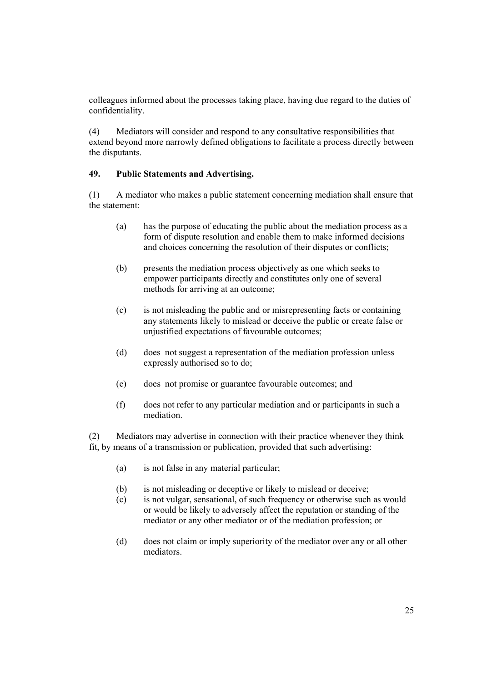colleagues informed about the processes taking place, having due regard to the duties of confidentiality.

(4) Mediators will consider and respond to any consultative responsibilities that extend beyond more narrowly defined obligations to facilitate a process directly between the disputants.

## 49. Public Statements and Advertising.

(1) A mediator who makes a public statement concerning mediation shall ensure that the statement:

- (a) has the purpose of educating the public about the mediation process as a form of dispute resolution and enable them to make informed decisions and choices concerning the resolution of their disputes or conflicts;
- (b) presents the mediation process objectively as one which seeks to empower participants directly and constitutes only one of several methods for arriving at an outcome;
- (c) is not misleading the public and or misrepresenting facts or containing any statements likely to mislead or deceive the public or create false or unjustified expectations of favourable outcomes;
- (d) does not suggest a representation of the mediation profession unless expressly authorised so to do;
- (e) does not promise or guarantee favourable outcomes; and
- (f) does not refer to any particular mediation and or participants in such a mediation.

(2) Mediators may advertise in connection with their practice whenever they think fit, by means of a transmission or publication, provided that such advertising:

- (a) is not false in any material particular;
- (b) is not misleading or deceptive or likely to mislead or deceive;
- (c) is not vulgar, sensational, of such frequency or otherwise such as would or would be likely to adversely affect the reputation or standing of the mediator or any other mediator or of the mediation profession; or
- (d) does not claim or imply superiority of the mediator over any or all other mediators.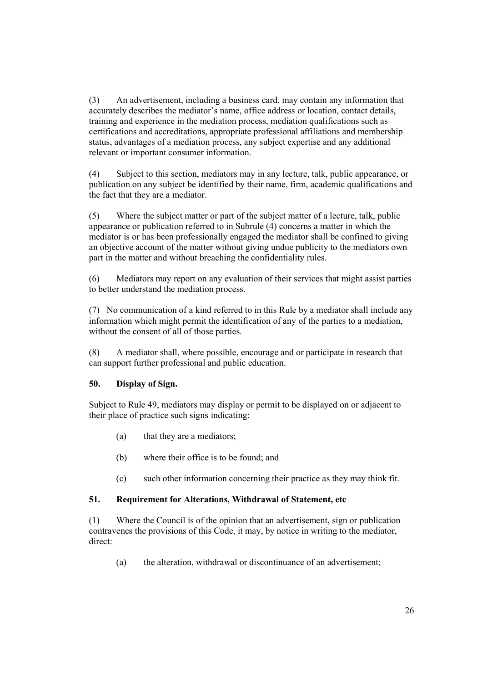(3) An advertisement, including a business card, may contain any information that accurately describes the mediator's name, office address or location, contact details, training and experience in the mediation process, mediation qualifications such as certifications and accreditations, appropriate professional affiliations and membership status, advantages of a mediation process, any subject expertise and any additional relevant or important consumer information.

(4) Subject to this section, mediators may in any lecture, talk, public appearance, or publication on any subject be identified by their name, firm, academic qualifications and the fact that they are a mediator.

(5) Where the subject matter or part of the subject matter of a lecture, talk, public appearance or publication referred to in Subrule (4) concerns a matter in which the mediator is or has been professionally engaged the mediator shall be confined to giving an objective account of the matter without giving undue publicity to the mediators own part in the matter and without breaching the confidentiality rules.

(6) Mediators may report on any evaluation of their services that might assist parties to better understand the mediation process.

(7) No communication of a kind referred to in this Rule by a mediator shall include any information which might permit the identification of any of the parties to a mediation, without the consent of all of those parties.

(8) A mediator shall, where possible, encourage and or participate in research that can support further professional and public education.

## 50. Display of Sign.

Subject to Rule 49, mediators may display or permit to be displayed on or adjacent to their place of practice such signs indicating:

- (a) that they are a mediators;
- (b) where their office is to be found; and
- (c) such other information concerning their practice as they may think fit.

## 51. Requirement for Alterations, Withdrawal of Statement, etc

(1) Where the Council is of the opinion that an advertisement, sign or publication contravenes the provisions of this Code, it may, by notice in writing to the mediator, direct:

(a) the alteration, withdrawal or discontinuance of an advertisement;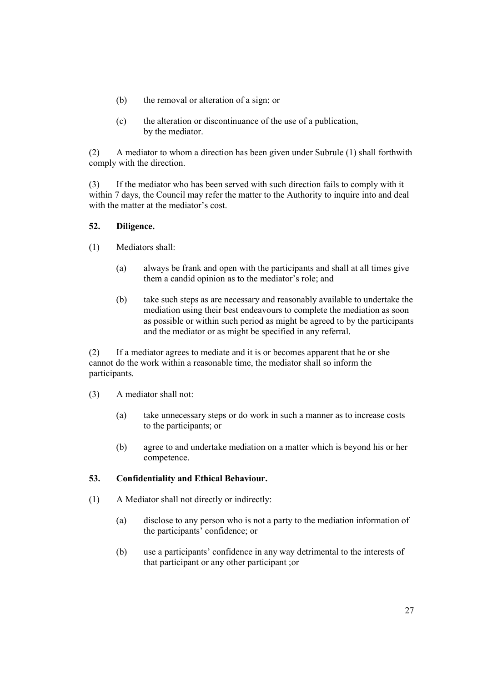- (b) the removal or alteration of a sign; or
- (c) the alteration or discontinuance of the use of a publication, by the mediator.

(2) A mediator to whom a direction has been given under Subrule (1) shall forthwith comply with the direction.

(3) If the mediator who has been served with such direction fails to comply with it within 7 days, the Council may refer the matter to the Authority to inquire into and deal with the matter at the mediator's cost.

### 52. Diligence.

- (1) Mediators shall:
	- (a) always be frank and open with the participants and shall at all times give them a candid opinion as to the mediator's role; and
	- (b) take such steps as are necessary and reasonably available to undertake the mediation using their best endeavours to complete the mediation as soon as possible or within such period as might be agreed to by the participants and the mediator or as might be specified in any referral.

(2) If a mediator agrees to mediate and it is or becomes apparent that he or she cannot do the work within a reasonable time, the mediator shall so inform the participants.

- (3) A mediator shall not:
	- (a) take unnecessary steps or do work in such a manner as to increase costs to the participants; or
	- (b) agree to and undertake mediation on a matter which is beyond his or her competence.

## 53. Confidentiality and Ethical Behaviour.

- (1) A Mediator shall not directly or indirectly:
	- (a) disclose to any person who is not a party to the mediation information of the participants' confidence; or
	- (b) use a participants' confidence in any way detrimental to the interests of that participant or any other participant ;or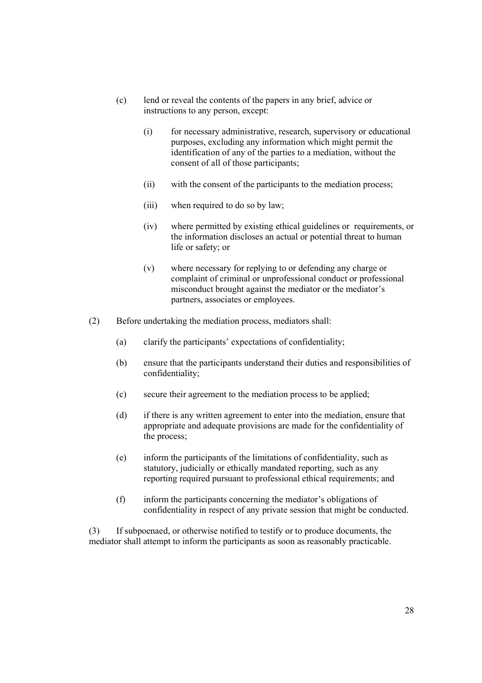- (c) lend or reveal the contents of the papers in any brief, advice or instructions to any person, except:
	- (i) for necessary administrative, research, supervisory or educational purposes, excluding any information which might permit the identification of any of the parties to a mediation, without the consent of all of those participants;
	- (ii) with the consent of the participants to the mediation process;
	- (iii) when required to do so by law;
	- (iv) where permitted by existing ethical guidelines or requirements, or the information discloses an actual or potential threat to human life or safety; or
	- (v) where necessary for replying to or defending any charge or complaint of criminal or unprofessional conduct or professional misconduct brought against the mediator or the mediator's partners, associates or employees.
- (2) Before undertaking the mediation process, mediators shall:
	- (a) clarify the participants' expectations of confidentiality;
	- (b) ensure that the participants understand their duties and responsibilities of confidentiality;
	- (c) secure their agreement to the mediation process to be applied;
	- (d) if there is any written agreement to enter into the mediation, ensure that appropriate and adequate provisions are made for the confidentiality of the process;
	- (e) inform the participants of the limitations of confidentiality, such as statutory, judicially or ethically mandated reporting, such as any reporting required pursuant to professional ethical requirements; and
	- (f) inform the participants concerning the mediator's obligations of confidentiality in respect of any private session that might be conducted.

(3) If subpoenaed, or otherwise notified to testify or to produce documents, the mediator shall attempt to inform the participants as soon as reasonably practicable.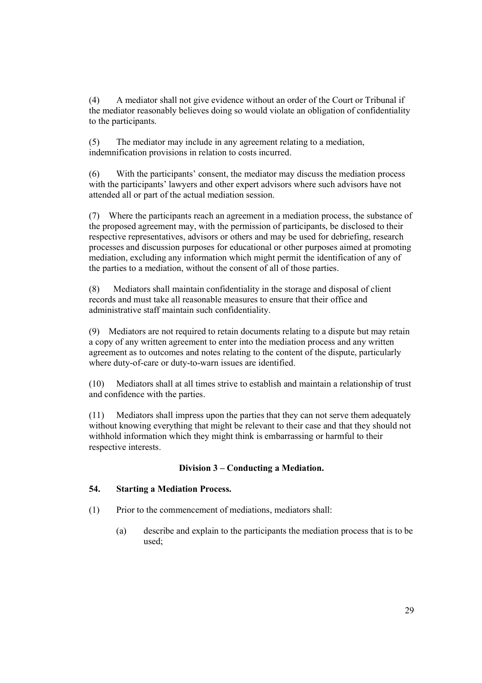(4) A mediator shall not give evidence without an order of the Court or Tribunal if the mediator reasonably believes doing so would violate an obligation of confidentiality to the participants.

(5) The mediator may include in any agreement relating to a mediation, indemnification provisions in relation to costs incurred.

(6) With the participants' consent, the mediator may discuss the mediation process with the participants' lawyers and other expert advisors where such advisors have not attended all or part of the actual mediation session.

(7) Where the participants reach an agreement in a mediation process, the substance of the proposed agreement may, with the permission of participants, be disclosed to their respective representatives, advisors or others and may be used for debriefing, research processes and discussion purposes for educational or other purposes aimed at promoting mediation, excluding any information which might permit the identification of any of the parties to a mediation, without the consent of all of those parties.

(8) Mediators shall maintain confidentiality in the storage and disposal of client records and must take all reasonable measures to ensure that their office and administrative staff maintain such confidentiality.

(9) Mediators are not required to retain documents relating to a dispute but may retain a copy of any written agreement to enter into the mediation process and any written agreement as to outcomes and notes relating to the content of the dispute, particularly where duty-of-care or duty-to-warn issues are identified.

(10) Mediators shall at all times strive to establish and maintain a relationship of trust and confidence with the parties.

(11) Mediators shall impress upon the parties that they can not serve them adequately without knowing everything that might be relevant to their case and that they should not withhold information which they might think is embarrassing or harmful to their respective interests.

## Division 3 – Conducting a Mediation.

#### 54. Starting a Mediation Process.

- (1) Prior to the commencement of mediations, mediators shall:
	- (a) describe and explain to the participants the mediation process that is to be used;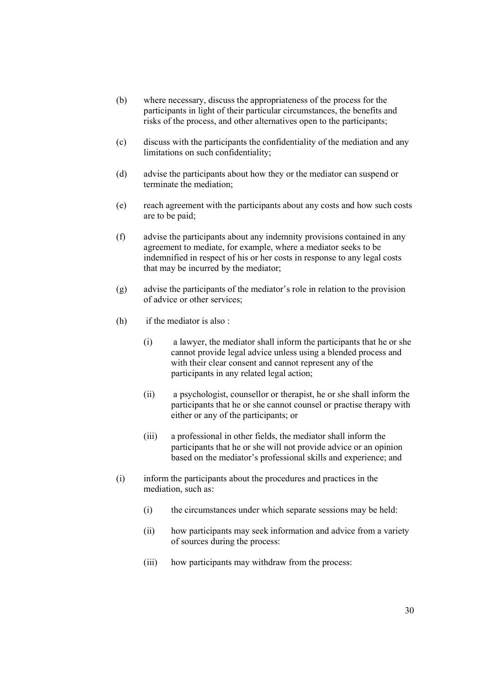- (b) where necessary, discuss the appropriateness of the process for the participants in light of their particular circumstances, the benefits and risks of the process, and other alternatives open to the participants;
- (c) discuss with the participants the confidentiality of the mediation and any limitations on such confidentiality;
- (d) advise the participants about how they or the mediator can suspend or terminate the mediation;
- (e) reach agreement with the participants about any costs and how such costs are to be paid;
- (f) advise the participants about any indemnity provisions contained in any agreement to mediate, for example, where a mediator seeks to be indemnified in respect of his or her costs in response to any legal costs that may be incurred by the mediator;
- (g) advise the participants of the mediator's role in relation to the provision of advice or other services;
- (h) if the mediator is also :
	- (i) a lawyer, the mediator shall inform the participants that he or she cannot provide legal advice unless using a blended process and with their clear consent and cannot represent any of the participants in any related legal action;
	- (ii) a psychologist, counsellor or therapist, he or she shall inform the participants that he or she cannot counsel or practise therapy with either or any of the participants; or
	- (iii) a professional in other fields, the mediator shall inform the participants that he or she will not provide advice or an opinion based on the mediator's professional skills and experience; and
- (i) inform the participants about the procedures and practices in the mediation, such as:
	- (i) the circumstances under which separate sessions may be held:
	- (ii) how participants may seek information and advice from a variety of sources during the process:
	- (iii) how participants may withdraw from the process: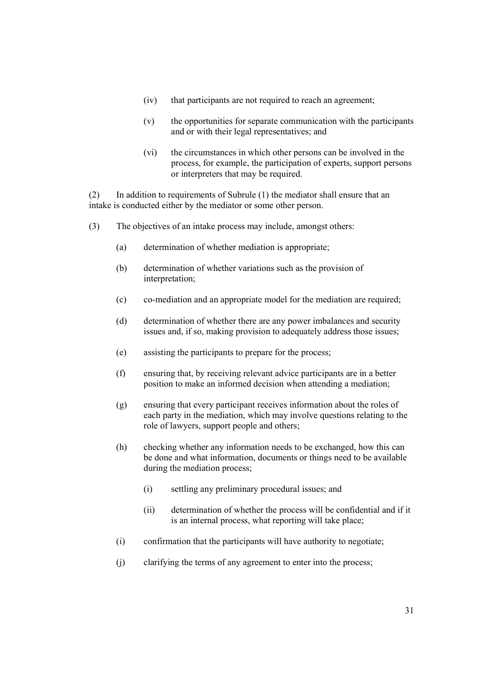- (iv) that participants are not required to reach an agreement;
- (v) the opportunities for separate communication with the participants and or with their legal representatives; and
- (vi) the circumstances in which other persons can be involved in the process, for example, the participation of experts, support persons or interpreters that may be required.

(2) In addition to requirements of Subrule (1) the mediator shall ensure that an intake is conducted either by the mediator or some other person.

- (3) The objectives of an intake process may include, amongst others:
	- (a) determination of whether mediation is appropriate;
	- (b) determination of whether variations such as the provision of interpretation;
	- (c) co-mediation and an appropriate model for the mediation are required;
	- (d) determination of whether there are any power imbalances and security issues and, if so, making provision to adequately address those issues;
	- (e) assisting the participants to prepare for the process;
	- (f) ensuring that, by receiving relevant advice participants are in a better position to make an informed decision when attending a mediation;
	- (g) ensuring that every participant receives information about the roles of each party in the mediation, which may involve questions relating to the role of lawyers, support people and others;
	- (h) checking whether any information needs to be exchanged, how this can be done and what information, documents or things need to be available during the mediation process;
		- (i) settling any preliminary procedural issues; and
		- (ii) determination of whether the process will be confidential and if it is an internal process, what reporting will take place;
	- (i) confirmation that the participants will have authority to negotiate;
	- (j) clarifying the terms of any agreement to enter into the process;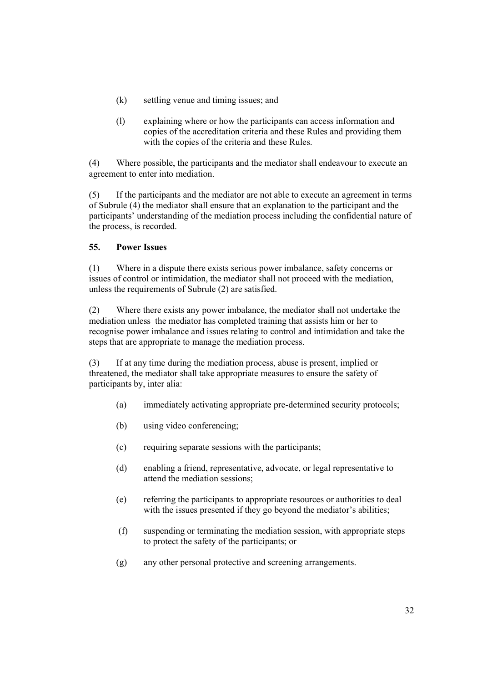- (k) settling venue and timing issues; and
- (l) explaining where or how the participants can access information and copies of the accreditation criteria and these Rules and providing them with the copies of the criteria and these Rules.

(4) Where possible, the participants and the mediator shall endeavour to execute an agreement to enter into mediation.

(5) If the participants and the mediator are not able to execute an agreement in terms of Subrule (4) the mediator shall ensure that an explanation to the participant and the participants' understanding of the mediation process including the confidential nature of the process, is recorded.

# 55. Power Issues

(1) Where in a dispute there exists serious power imbalance, safety concerns or issues of control or intimidation, the mediator shall not proceed with the mediation, unless the requirements of Subrule (2) are satisfied.

(2) Where there exists any power imbalance, the mediator shall not undertake the mediation unless the mediator has completed training that assists him or her to recognise power imbalance and issues relating to control and intimidation and take the steps that are appropriate to manage the mediation process.

(3) If at any time during the mediation process, abuse is present, implied or threatened, the mediator shall take appropriate measures to ensure the safety of participants by, inter alia:

- (a) immediately activating appropriate pre-determined security protocols;
- (b) using video conferencing;
- (c) requiring separate sessions with the participants;
- (d) enabling a friend, representative, advocate, or legal representative to attend the mediation sessions;
- (e) referring the participants to appropriate resources or authorities to deal with the issues presented if they go beyond the mediator's abilities;
- (f) suspending or terminating the mediation session, with appropriate steps to protect the safety of the participants; or
- (g) any other personal protective and screening arrangements.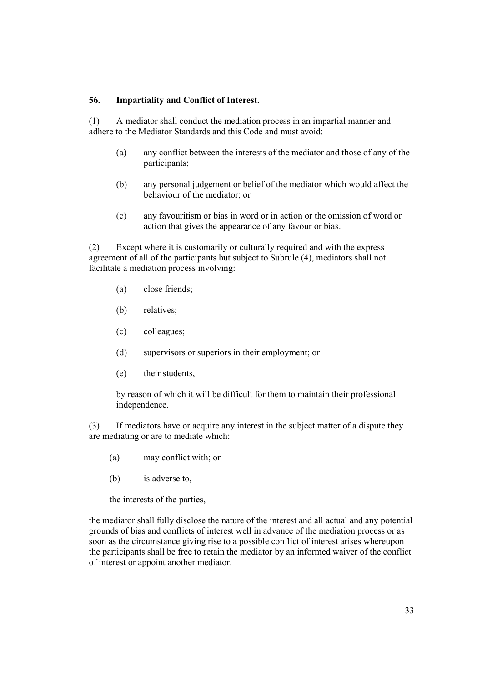#### 56. Impartiality and Conflict of Interest.

(1) A mediator shall conduct the mediation process in an impartial manner and adhere to the Mediator Standards and this Code and must avoid:

- (a) any conflict between the interests of the mediator and those of any of the participants;
- (b) any personal judgement or belief of the mediator which would affect the behaviour of the mediator; or
- (c) any favouritism or bias in word or in action or the omission of word or action that gives the appearance of any favour or bias.

(2) Except where it is customarily or culturally required and with the express agreement of all of the participants but subject to Subrule (4), mediators shall not facilitate a mediation process involving:

- (a) close friends;
- (b) relatives;
- (c) colleagues;
- (d) supervisors or superiors in their employment; or
- (e) their students,

by reason of which it will be difficult for them to maintain their professional independence.

(3) If mediators have or acquire any interest in the subject matter of a dispute they are mediating or are to mediate which:

- (a) may conflict with; or
- (b) is adverse to,

the interests of the parties,

the mediator shall fully disclose the nature of the interest and all actual and any potential grounds of bias and conflicts of interest well in advance of the mediation process or as soon as the circumstance giving rise to a possible conflict of interest arises whereupon the participants shall be free to retain the mediator by an informed waiver of the conflict of interest or appoint another mediator.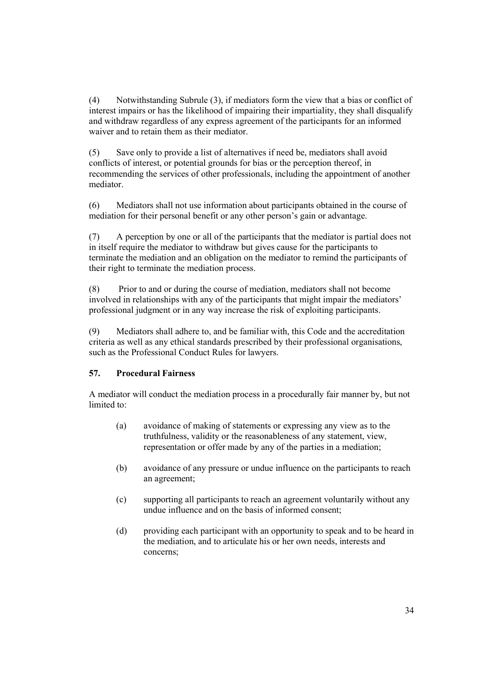(4) Notwithstanding Subrule (3), if mediators form the view that a bias or conflict of interest impairs or has the likelihood of impairing their impartiality, they shall disqualify and withdraw regardless of any express agreement of the participants for an informed waiver and to retain them as their mediator.

(5) Save only to provide a list of alternatives if need be, mediators shall avoid conflicts of interest, or potential grounds for bias or the perception thereof, in recommending the services of other professionals, including the appointment of another mediator.

(6) Mediators shall not use information about participants obtained in the course of mediation for their personal benefit or any other person's gain or advantage.

(7) A perception by one or all of the participants that the mediator is partial does not in itself require the mediator to withdraw but gives cause for the participants to terminate the mediation and an obligation on the mediator to remind the participants of their right to terminate the mediation process.

(8) Prior to and or during the course of mediation, mediators shall not become involved in relationships with any of the participants that might impair the mediators' professional judgment or in any way increase the risk of exploiting participants.

(9) Mediators shall adhere to, and be familiar with, this Code and the accreditation criteria as well as any ethical standards prescribed by their professional organisations, such as the Professional Conduct Rules for lawyers.

## 57. Procedural Fairness

A mediator will conduct the mediation process in a procedurally fair manner by, but not limited to:

- (a) avoidance of making of statements or expressing any view as to the truthfulness, validity or the reasonableness of any statement, view, representation or offer made by any of the parties in a mediation;
- (b) avoidance of any pressure or undue influence on the participants to reach an agreement;
- (c) supporting all participants to reach an agreement voluntarily without any undue influence and on the basis of informed consent;
- (d) providing each participant with an opportunity to speak and to be heard in the mediation, and to articulate his or her own needs, interests and concerns;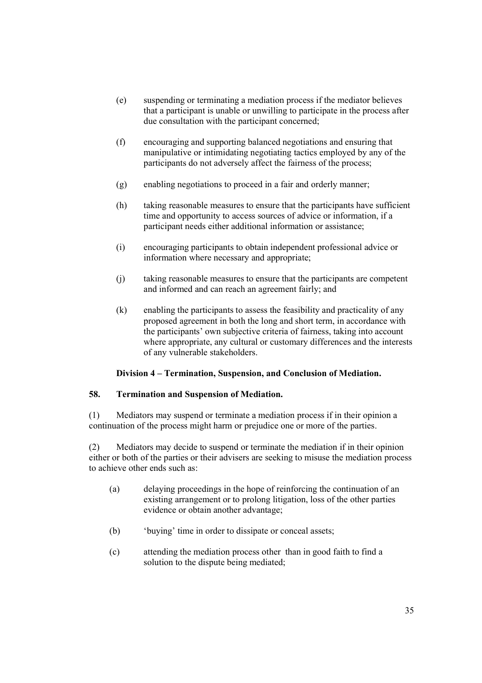- (e) suspending or terminating a mediation process if the mediator believes that a participant is unable or unwilling to participate in the process after due consultation with the participant concerned;
- (f) encouraging and supporting balanced negotiations and ensuring that manipulative or intimidating negotiating tactics employed by any of the participants do not adversely affect the fairness of the process;
- (g) enabling negotiations to proceed in a fair and orderly manner;
- (h) taking reasonable measures to ensure that the participants have sufficient time and opportunity to access sources of advice or information, if a participant needs either additional information or assistance;
- (i) encouraging participants to obtain independent professional advice or information where necessary and appropriate;
- (j) taking reasonable measures to ensure that the participants are competent and informed and can reach an agreement fairly; and
- (k) enabling the participants to assess the feasibility and practicality of any proposed agreement in both the long and short term, in accordance with the participants' own subjective criteria of fairness, taking into account where appropriate, any cultural or customary differences and the interests of any vulnerable stakeholders.

## Division 4 – Termination, Suspension, and Conclusion of Mediation.

#### 58. Termination and Suspension of Mediation.

(1) Mediators may suspend or terminate a mediation process if in their opinion a continuation of the process might harm or prejudice one or more of the parties.

(2) Mediators may decide to suspend or terminate the mediation if in their opinion either or both of the parties or their advisers are seeking to misuse the mediation process to achieve other ends such as:

- (a) delaying proceedings in the hope of reinforcing the continuation of an existing arrangement or to prolong litigation, loss of the other parties evidence or obtain another advantage;
- (b) 'buying' time in order to dissipate or conceal assets;
- (c) attending the mediation process other than in good faith to find a solution to the dispute being mediated;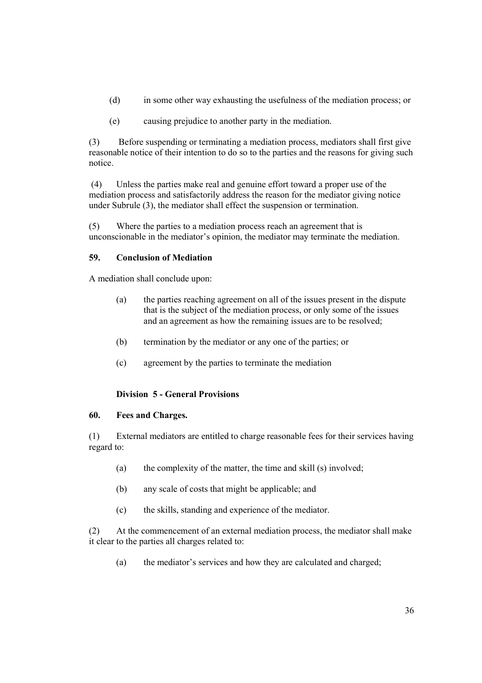- (d) in some other way exhausting the usefulness of the mediation process; or
- (e) causing prejudice to another party in the mediation.

(3) Before suspending or terminating a mediation process, mediators shall first give reasonable notice of their intention to do so to the parties and the reasons for giving such notice.

 (4) Unless the parties make real and genuine effort toward a proper use of the mediation process and satisfactorily address the reason for the mediator giving notice under Subrule (3), the mediator shall effect the suspension or termination.

(5) Where the parties to a mediation process reach an agreement that is unconscionable in the mediator's opinion, the mediator may terminate the mediation.

### 59. Conclusion of Mediation

A mediation shall conclude upon:

- (a) the parties reaching agreement on all of the issues present in the dispute that is the subject of the mediation process, or only some of the issues and an agreement as how the remaining issues are to be resolved;
- (b) termination by the mediator or any one of the parties; or
- (c) agreement by the parties to terminate the mediation

## Division 5 - General Provisions

## 60. Fees and Charges.

(1) External mediators are entitled to charge reasonable fees for their services having regard to:

- (a) the complexity of the matter, the time and skill (s) involved;
- (b) any scale of costs that might be applicable; and
- (c) the skills, standing and experience of the mediator.

(2) At the commencement of an external mediation process, the mediator shall make it clear to the parties all charges related to:

(a) the mediator's services and how they are calculated and charged;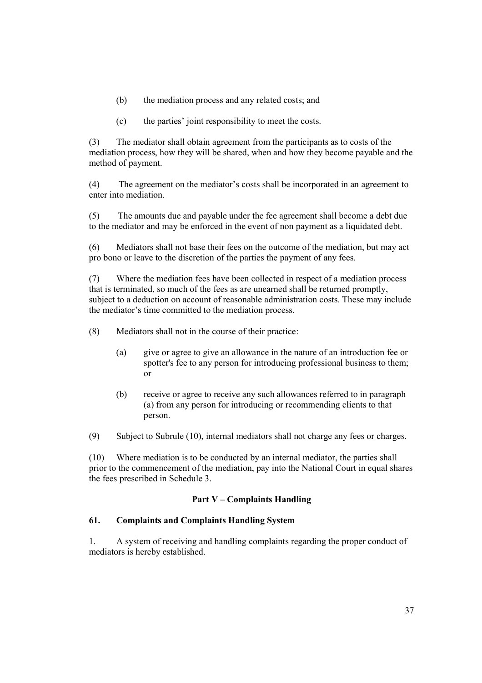- (b) the mediation process and any related costs; and
- (c) the parties' joint responsibility to meet the costs.

(3) The mediator shall obtain agreement from the participants as to costs of the mediation process, how they will be shared, when and how they become payable and the method of payment.

(4) The agreement on the mediator's costs shall be incorporated in an agreement to enter into mediation.

(5) The amounts due and payable under the fee agreement shall become a debt due to the mediator and may be enforced in the event of non payment as a liquidated debt.

(6) Mediators shall not base their fees on the outcome of the mediation, but may act pro bono or leave to the discretion of the parties the payment of any fees.

(7) Where the mediation fees have been collected in respect of a mediation process that is terminated, so much of the fees as are unearned shall be returned promptly, subject to a deduction on account of reasonable administration costs. These may include the mediator's time committed to the mediation process.

(8) Mediators shall not in the course of their practice:

- (a) give or agree to give an allowance in the nature of an introduction fee or spotter's fee to any person for introducing professional business to them; or
- (b) receive or agree to receive any such allowances referred to in paragraph (a) from any person for introducing or recommending clients to that person.

(9) Subject to Subrule (10), internal mediators shall not charge any fees or charges.

(10) Where mediation is to be conducted by an internal mediator, the parties shall prior to the commencement of the mediation, pay into the National Court in equal shares the fees prescribed in Schedule 3.

#### Part V – Complaints Handling

# 61. Complaints and Complaints Handling System

1. A system of receiving and handling complaints regarding the proper conduct of mediators is hereby established.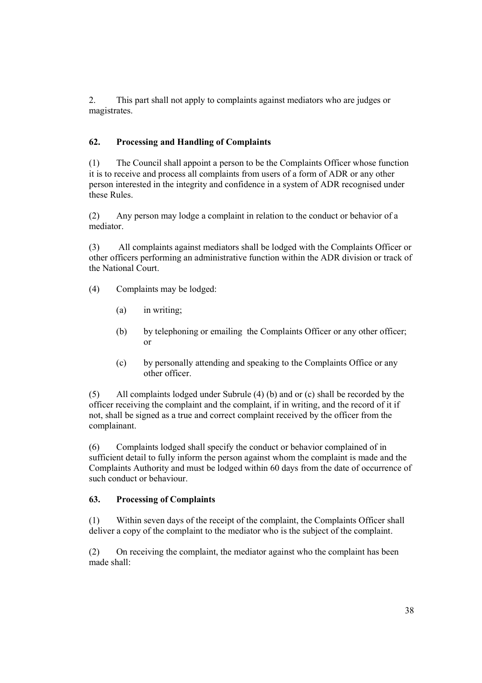2. This part shall not apply to complaints against mediators who are judges or magistrates.

## 62. Processing and Handling of Complaints

(1) The Council shall appoint a person to be the Complaints Officer whose function it is to receive and process all complaints from users of a form of ADR or any other person interested in the integrity and confidence in a system of ADR recognised under these Rules.

(2) Any person may lodge a complaint in relation to the conduct or behavior of a mediator.

(3) All complaints against mediators shall be lodged with the Complaints Officer or other officers performing an administrative function within the ADR division or track of the National Court.

- (4) Complaints may be lodged:
	- (a) in writing;
	- (b) by telephoning or emailing the Complaints Officer or any other officer; or
	- (c) by personally attending and speaking to the Complaints Office or any other officer.

(5) All complaints lodged under Subrule (4) (b) and or (c) shall be recorded by the officer receiving the complaint and the complaint, if in writing, and the record of it if not, shall be signed as a true and correct complaint received by the officer from the complainant.

(6) Complaints lodged shall specify the conduct or behavior complained of in sufficient detail to fully inform the person against whom the complaint is made and the Complaints Authority and must be lodged within 60 days from the date of occurrence of such conduct or behaviour.

#### 63. Processing of Complaints

(1) Within seven days of the receipt of the complaint, the Complaints Officer shall deliver a copy of the complaint to the mediator who is the subject of the complaint.

(2) On receiving the complaint, the mediator against who the complaint has been made shall: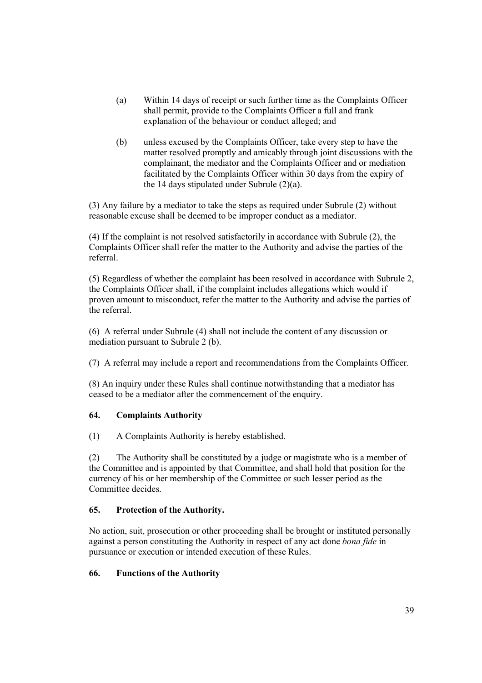- (a) Within 14 days of receipt or such further time as the Complaints Officer shall permit, provide to the Complaints Officer a full and frank explanation of the behaviour or conduct alleged; and
- (b) unless excused by the Complaints Officer, take every step to have the matter resolved promptly and amicably through joint discussions with the complainant, the mediator and the Complaints Officer and or mediation facilitated by the Complaints Officer within 30 days from the expiry of the 14 days stipulated under Subrule (2)(a).

(3) Any failure by a mediator to take the steps as required under Subrule (2) without reasonable excuse shall be deemed to be improper conduct as a mediator.

(4) If the complaint is not resolved satisfactorily in accordance with Subrule (2), the Complaints Officer shall refer the matter to the Authority and advise the parties of the referral.

(5) Regardless of whether the complaint has been resolved in accordance with Subrule 2, the Complaints Officer shall, if the complaint includes allegations which would if proven amount to misconduct, refer the matter to the Authority and advise the parties of the referral.

(6) A referral under Subrule (4) shall not include the content of any discussion or mediation pursuant to Subrule 2 (b).

(7) A referral may include a report and recommendations from the Complaints Officer.

(8) An inquiry under these Rules shall continue notwithstanding that a mediator has ceased to be a mediator after the commencement of the enquiry.

#### 64. Complaints Authority

(1) A Complaints Authority is hereby established.

(2) The Authority shall be constituted by a judge or magistrate who is a member of the Committee and is appointed by that Committee, and shall hold that position for the currency of his or her membership of the Committee or such lesser period as the Committee decides.

#### 65. Protection of the Authority.

No action, suit, prosecution or other proceeding shall be brought or instituted personally against a person constituting the Authority in respect of any act done bona fide in pursuance or execution or intended execution of these Rules.

#### 66. Functions of the Authority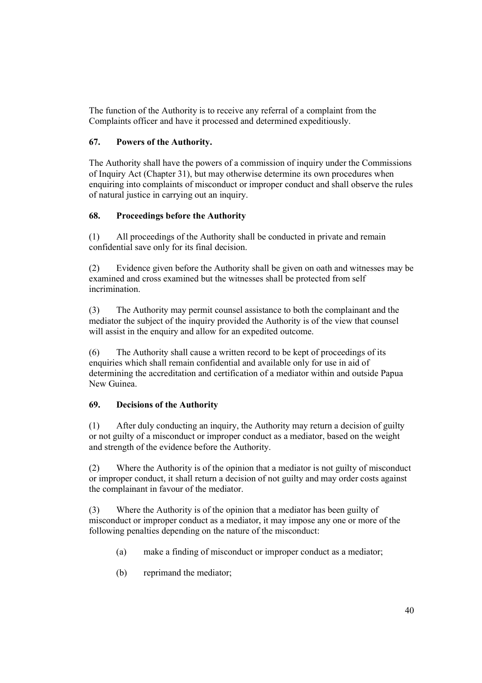The function of the Authority is to receive any referral of a complaint from the Complaints officer and have it processed and determined expeditiously.

## 67. Powers of the Authority.

The Authority shall have the powers of a commission of inquiry under the Commissions of Inquiry Act (Chapter 31), but may otherwise determine its own procedures when enquiring into complaints of misconduct or improper conduct and shall observe the rules of natural justice in carrying out an inquiry.

### 68. Proceedings before the Authority

(1) All proceedings of the Authority shall be conducted in private and remain confidential save only for its final decision.

(2) Evidence given before the Authority shall be given on oath and witnesses may be examined and cross examined but the witnesses shall be protected from self incrimination.

(3) The Authority may permit counsel assistance to both the complainant and the mediator the subject of the inquiry provided the Authority is of the view that counsel will assist in the enquiry and allow for an expedited outcome.

(6) The Authority shall cause a written record to be kept of proceedings of its enquiries which shall remain confidential and available only for use in aid of determining the accreditation and certification of a mediator within and outside Papua New Guinea.

## 69. Decisions of the Authority

(1) After duly conducting an inquiry, the Authority may return a decision of guilty or not guilty of a misconduct or improper conduct as a mediator, based on the weight and strength of the evidence before the Authority.

(2) Where the Authority is of the opinion that a mediator is not guilty of misconduct or improper conduct, it shall return a decision of not guilty and may order costs against the complainant in favour of the mediator.

(3) Where the Authority is of the opinion that a mediator has been guilty of misconduct or improper conduct as a mediator, it may impose any one or more of the following penalties depending on the nature of the misconduct:

- (a) make a finding of misconduct or improper conduct as a mediator;
- (b) reprimand the mediator;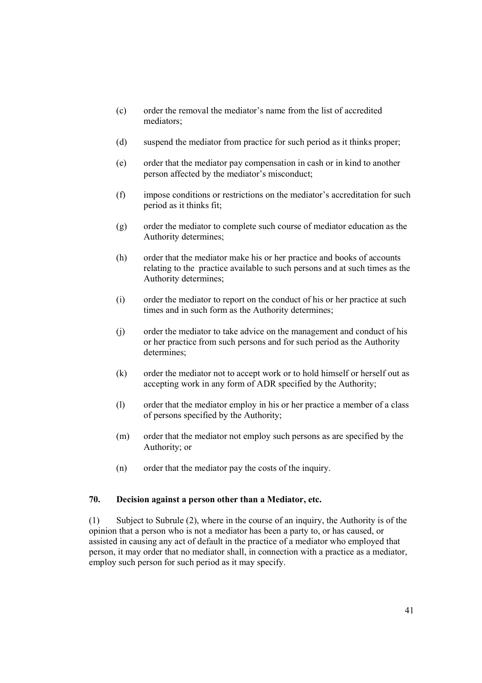- (c) order the removal the mediator's name from the list of accredited mediators;
- (d) suspend the mediator from practice for such period as it thinks proper;
- (e) order that the mediator pay compensation in cash or in kind to another person affected by the mediator's misconduct;
- (f) impose conditions or restrictions on the mediator's accreditation for such period as it thinks fit;
- (g) order the mediator to complete such course of mediator education as the Authority determines;
- (h) order that the mediator make his or her practice and books of accounts relating to the practice available to such persons and at such times as the Authority determines;
- (i) order the mediator to report on the conduct of his or her practice at such times and in such form as the Authority determines;
- (j) order the mediator to take advice on the management and conduct of his or her practice from such persons and for such period as the Authority determines;
- (k) order the mediator not to accept work or to hold himself or herself out as accepting work in any form of ADR specified by the Authority;
- (l) order that the mediator employ in his or her practice a member of a class of persons specified by the Authority;
- (m) order that the mediator not employ such persons as are specified by the Authority; or
- (n) order that the mediator pay the costs of the inquiry.

#### 70. Decision against a person other than a Mediator, etc.

(1) Subject to Subrule (2), where in the course of an inquiry, the Authority is of the opinion that a person who is not a mediator has been a party to, or has caused, or assisted in causing any act of default in the practice of a mediator who employed that person, it may order that no mediator shall, in connection with a practice as a mediator, employ such person for such period as it may specify.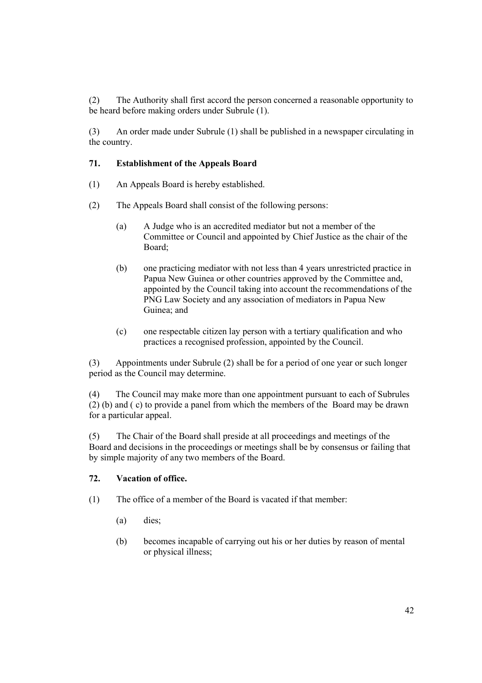(2) The Authority shall first accord the person concerned a reasonable opportunity to be heard before making orders under Subrule (1).

(3) An order made under Subrule (1) shall be published in a newspaper circulating in the country.

### 71. Establishment of the Appeals Board

- (1) An Appeals Board is hereby established.
- (2) The Appeals Board shall consist of the following persons:
	- (a) A Judge who is an accredited mediator but not a member of the Committee or Council and appointed by Chief Justice as the chair of the Board;
	- (b) one practicing mediator with not less than 4 years unrestricted practice in Papua New Guinea or other countries approved by the Committee and, appointed by the Council taking into account the recommendations of the PNG Law Society and any association of mediators in Papua New Guinea; and
	- (c) one respectable citizen lay person with a tertiary qualification and who practices a recognised profession, appointed by the Council.

(3) Appointments under Subrule (2) shall be for a period of one year or such longer period as the Council may determine.

(4) The Council may make more than one appointment pursuant to each of Subrules (2) (b) and ( c) to provide a panel from which the members of the Board may be drawn for a particular appeal.

(5) The Chair of the Board shall preside at all proceedings and meetings of the Board and decisions in the proceedings or meetings shall be by consensus or failing that by simple majority of any two members of the Board.

#### 72. Vacation of office.

- (1) The office of a member of the Board is vacated if that member:
	- (a) dies;
	- (b) becomes incapable of carrying out his or her duties by reason of mental or physical illness;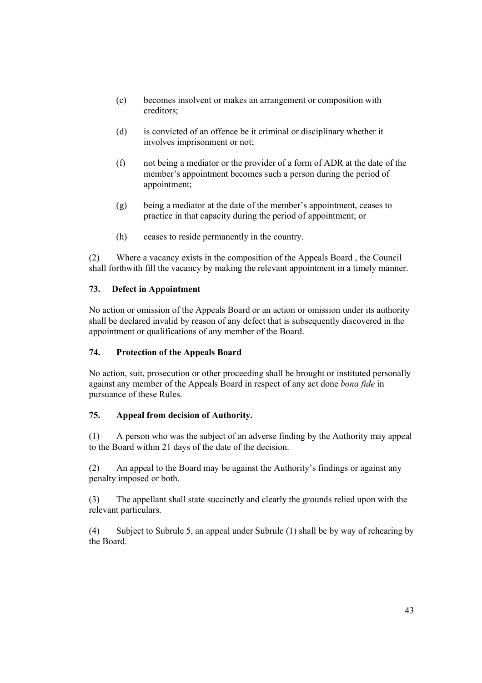- (c) becomes insolvent or makes an arrangement or composition with creditors;
- (d) is convicted of an offence be it criminal or disciplinary whether it involves imprisonment or not;
- (f) not being a mediator or the provider of a form of ADR at the date of the member's appointment becomes such a person during the period of appointment;
- (g) being a mediator at the date of the member's appointment, ceases to practice in that capacity during the period of appointment; or
- (h) ceases to reside permanently in the country.

(2) Where a vacancy exists in the composition of the Appeals Board , the Council shall forthwith fill the vacancy by making the relevant appointment in a timely manner.

# 73. Defect in Appointment

No action or omission of the Appeals Board or an action or omission under its authority shall be declared invalid by reason of any defect that is subsequently discovered in the appointment or qualifications of any member of the Board.

## 74. Protection of the Appeals Board

No action, suit, prosecution or other proceeding shall be brought or instituted personally against any member of the Appeals Board in respect of any act done bona fide in pursuance of these Rules.

## 75. Appeal from decision of Authority.

(1) A person who was the subject of an adverse finding by the Authority may appeal to the Board within 21 days of the date of the decision.

(2) An appeal to the Board may be against the Authority's findings or against any penalty imposed or both.

(3) The appellant shall state succinctly and clearly the grounds relied upon with the relevant particulars.

(4) Subject to Subrule 5, an appeal under Subrule (1) shall be by way of rehearing by the Board.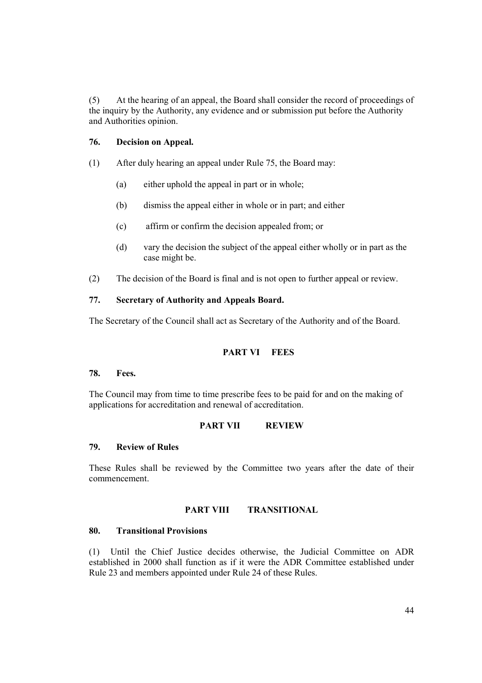(5) At the hearing of an appeal, the Board shall consider the record of proceedings of the inquiry by the Authority, any evidence and or submission put before the Authority and Authorities opinion.

#### 76. Decision on Appeal.

- (1) After duly hearing an appeal under Rule 75, the Board may:
	- (a) either uphold the appeal in part or in whole;
	- (b) dismiss the appeal either in whole or in part; and either
	- (c) affirm or confirm the decision appealed from; or
	- (d) vary the decision the subject of the appeal either wholly or in part as the case might be.
- (2) The decision of the Board is final and is not open to further appeal or review.

## 77. Secretary of Authority and Appeals Board.

The Secretary of the Council shall act as Secretary of the Authority and of the Board.

## PART VI FEES

#### 78. Fees.

The Council may from time to time prescribe fees to be paid for and on the making of applications for accreditation and renewal of accreditation.

#### PART VII REVIEW

#### 79. Review of Rules

These Rules shall be reviewed by the Committee two years after the date of their commencement.

#### PART VIII TRANSITIONAL

#### 80. Transitional Provisions

(1) Until the Chief Justice decides otherwise, the Judicial Committee on ADR established in 2000 shall function as if it were the ADR Committee established under Rule 23 and members appointed under Rule 24 of these Rules.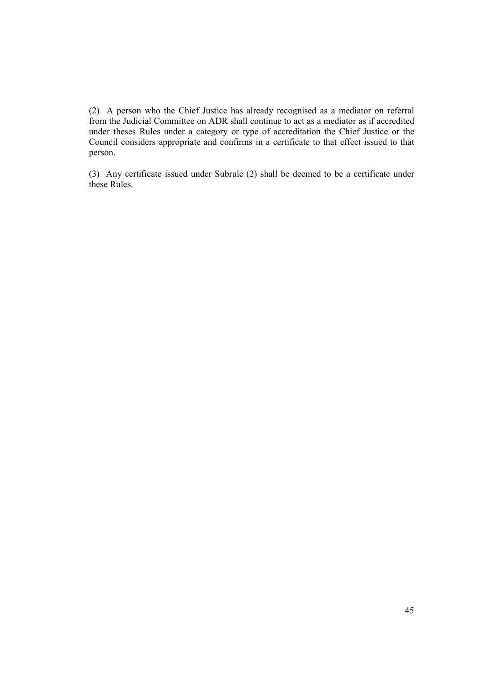(2) A person who the Chief Justice has already recognised as a mediator on referral from the Judicial Committee on ADR shall continue to act as a mediator as if accredited under theses Rules under a category or type of accreditation the Chief Justice or the Council considers appropriate and confirms in a certificate to that effect issued to that person.

(3) Any certificate issued under Subrule (2) shall be deemed to be a certificate under these Rules.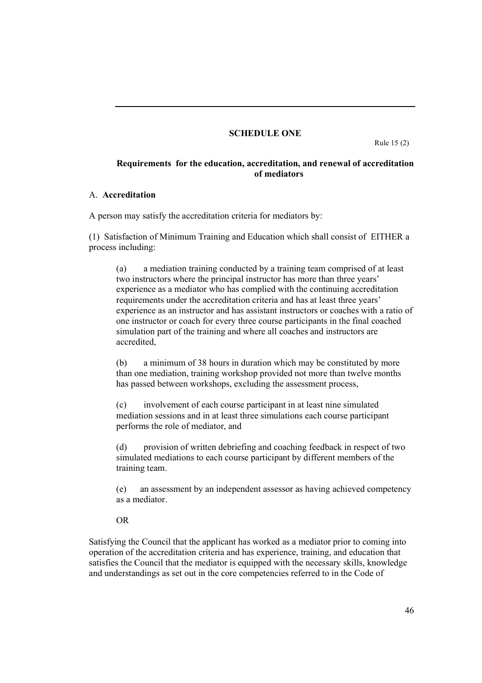#### SCHEDULE ONE

Rule 15 (2)

## Requirements for the education, accreditation, and renewal of accreditation of mediators

#### A. Accreditation

A person may satisfy the accreditation criteria for mediators by:

(1) Satisfaction of Minimum Training and Education which shall consist of EITHER a process including:

(a) a mediation training conducted by a training team comprised of at least two instructors where the principal instructor has more than three years' experience as a mediator who has complied with the continuing accreditation requirements under the accreditation criteria and has at least three years' experience as an instructor and has assistant instructors or coaches with a ratio of one instructor or coach for every three course participants in the final coached simulation part of the training and where all coaches and instructors are accredited,

(b) a minimum of 38 hours in duration which may be constituted by more than one mediation, training workshop provided not more than twelve months has passed between workshops, excluding the assessment process,

(c) involvement of each course participant in at least nine simulated mediation sessions and in at least three simulations each course participant performs the role of mediator, and

(d) provision of written debriefing and coaching feedback in respect of two simulated mediations to each course participant by different members of the training team.

(e) an assessment by an independent assessor as having achieved competency as a mediator.

#### OR

Satisfying the Council that the applicant has worked as a mediator prior to coming into operation of the accreditation criteria and has experience, training, and education that satisfies the Council that the mediator is equipped with the necessary skills, knowledge and understandings as set out in the core competencies referred to in the Code of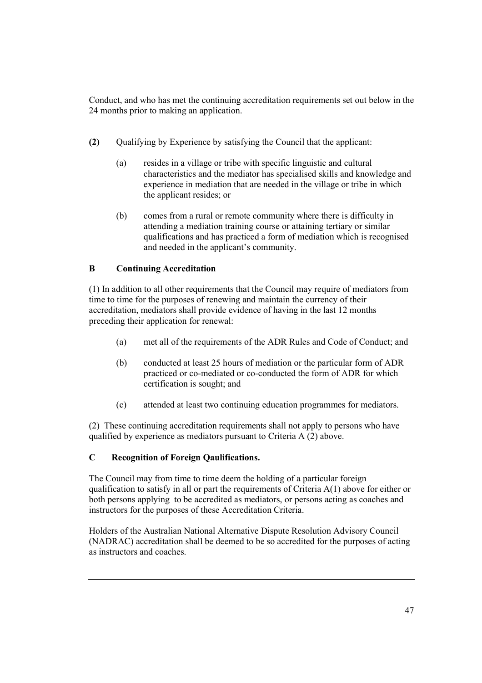Conduct, and who has met the continuing accreditation requirements set out below in the 24 months prior to making an application.

- (2) Qualifying by Experience by satisfying the Council that the applicant:
	- (a) resides in a village or tribe with specific linguistic and cultural characteristics and the mediator has specialised skills and knowledge and experience in mediation that are needed in the village or tribe in which the applicant resides; or
	- (b) comes from a rural or remote community where there is difficulty in attending a mediation training course or attaining tertiary or similar qualifications and has practiced a form of mediation which is recognised and needed in the applicant's community.

# B Continuing Accreditation

(1) In addition to all other requirements that the Council may require of mediators from time to time for the purposes of renewing and maintain the currency of their accreditation, mediators shall provide evidence of having in the last 12 months preceding their application for renewal:

- (a) met all of the requirements of the ADR Rules and Code of Conduct; and
- (b) conducted at least 25 hours of mediation or the particular form of ADR practiced or co-mediated or co-conducted the form of ADR for which certification is sought; and
- (c) attended at least two continuing education programmes for mediators.

(2) These continuing accreditation requirements shall not apply to persons who have qualified by experience as mediators pursuant to Criteria A (2) above.

## C Recognition of Foreign Qaulifications.

The Council may from time to time deem the holding of a particular foreign qualification to satisfy in all or part the requirements of Criteria  $A(1)$  above for either or both persons applying to be accredited as mediators, or persons acting as coaches and instructors for the purposes of these Accreditation Criteria.

Holders of the Australian National Alternative Dispute Resolution Advisory Council (NADRAC) accreditation shall be deemed to be so accredited for the purposes of acting as instructors and coaches.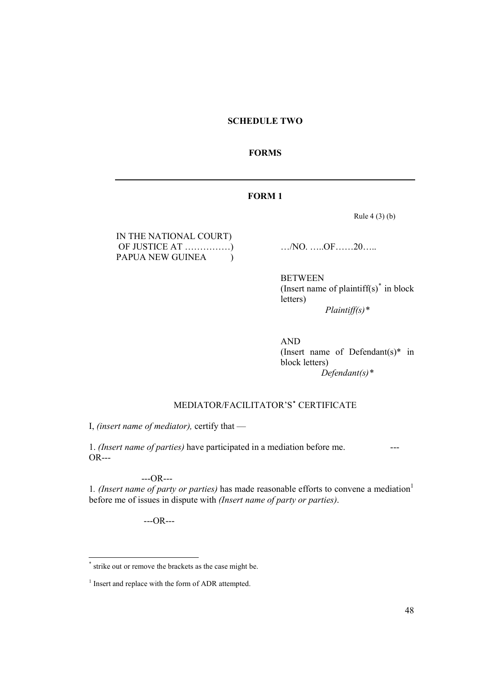## SCHEDULE TWO

#### FORMS

## FORM 1

Rule 4 (3) (b)

| IN THE NATIONAL COURT) |  |
|------------------------|--|
|                        |  |
| PAPUA NEW GUINEA       |  |

 $\ldots$ /NO.  $\ldots$ .OF……20……

BETWEEN (Insert name of plaintiff(s) $*$  in block letters)  $Plaintiff(s)*$ 

AND (Insert name of Defendant(s) $*$  in block letters) Defendant(s)<sup>\*</sup>

# MEDIATOR/FACILITATOR'S<sup>\*</sup> CERTIFICATE

I, (insert name of mediator), certify that —

1. (Insert name of parties) have participated in a mediation before me. ---  $OR--$ 

---OR---

1. (Insert name of party or parties) has made reasonable efforts to convene a mediation<sup>1</sup> before me of issues in dispute with (Insert name of party or parties).

---OR---

<sup>\*</sup> strike out or remove the brackets as the case might be.

<sup>&</sup>lt;sup>1</sup> Insert and replace with the form of ADR attempted.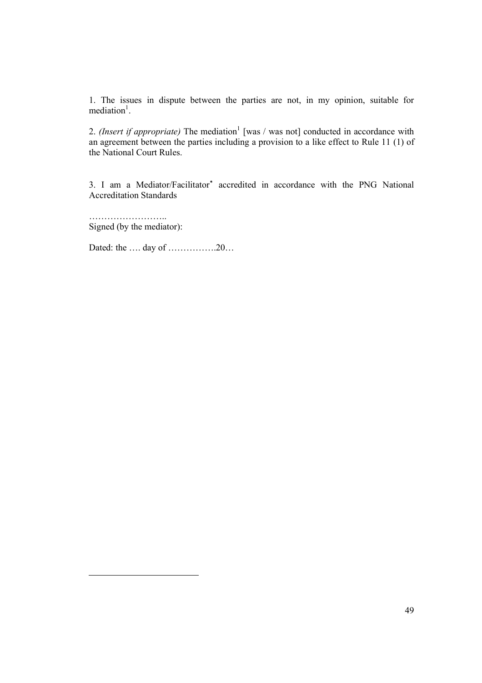1. The issues in dispute between the parties are not, in my opinion, suitable for mediation<sup>1</sup>.

2. (Insert if appropriate) The mediation<sup>1</sup> [was / was not] conducted in accordance with an agreement between the parties including a provision to a like effect to Rule 11 (1) of the National Court Rules.

3. I am a Mediator/Facilitator<sup>\*</sup> accredited in accordance with the PNG National Accreditation Standards

…………………….. Signed (by the mediator):

Dated: the …. day of …………….20…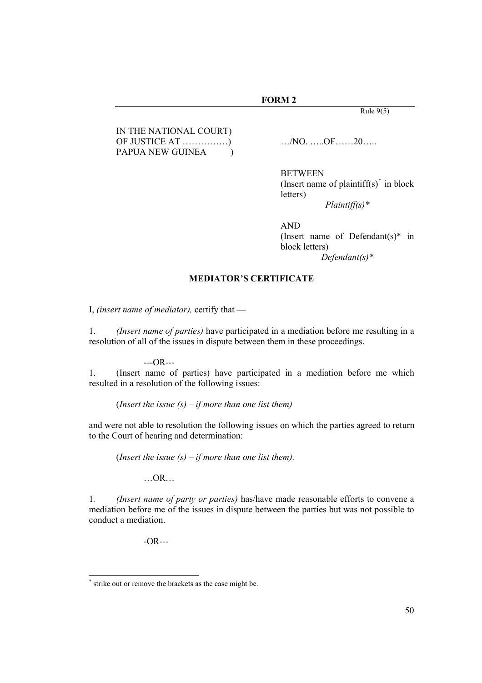#### FORM 2

Rule  $9(5)$ 

IN THE NATIONAL COURT) OF JUSTICE AT ……………) …/NO. …..OF……20….. PAPUA NEW GUINEA <sup>()</sup>

BETWEEN (Insert name of plaintiff(s) $*$  in block letters) Plaintiff(s)\*

AND (Insert name of Defendant(s)\* in block letters)  $Defendant(s)$ <sup>\*</sup>

#### MEDIATOR'S CERTIFICATE

I, (insert name of mediator), certify that —

1. (Insert name of parties) have participated in a mediation before me resulting in a resolution of all of the issues in dispute between them in these proceedings.

 $-OR--$ <br>1. (Insert name of 1. (Insert name of parties) have participated in a mediation before me which resulted in a resolution of the following issues:

(Insert the issue  $(s) - if$  more than one list them)

and were not able to resolution the following issues on which the parties agreed to return to the Court of hearing and determination:

(Insert the issue  $(s)$  – if more than one list them).

 $...$ OR…

1. (Insert name of party or parties) has/have made reasonable efforts to convene a mediation before me of the issues in dispute between the parties but was not possible to conduct a mediation.

-OR---

<sup>\*</sup> strike out or remove the brackets as the case might be.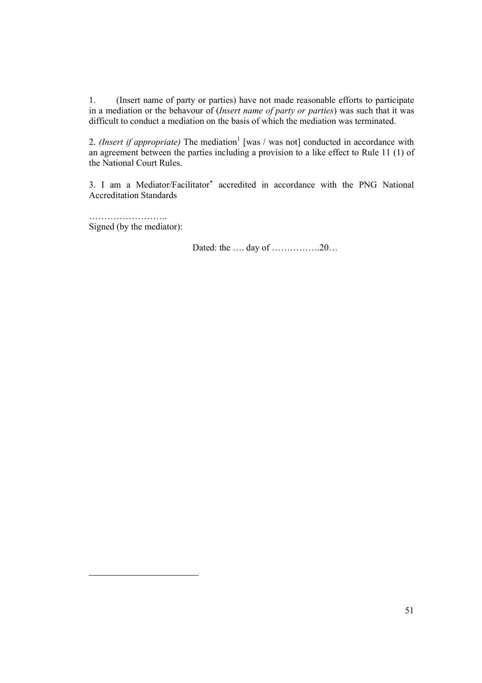1. (Insert name of party or parties) have not made reasonable efforts to participate in a mediation or the behavour of (Insert name of party or parties) was such that it was difficult to conduct a mediation on the basis of which the mediation was terminated.

2. (Insert if appropriate) The mediation<sup>1</sup> [was / was not] conducted in accordance with an agreement between the parties including a provision to a like effect to Rule 11 (1) of the National Court Rules.

3. I am a Mediator/Facilitator<sup>\*</sup> accredited in accordance with the PNG National Accreditation Standards

…………………….. Signed (by the mediator):

Dated: the …. day of …………….20…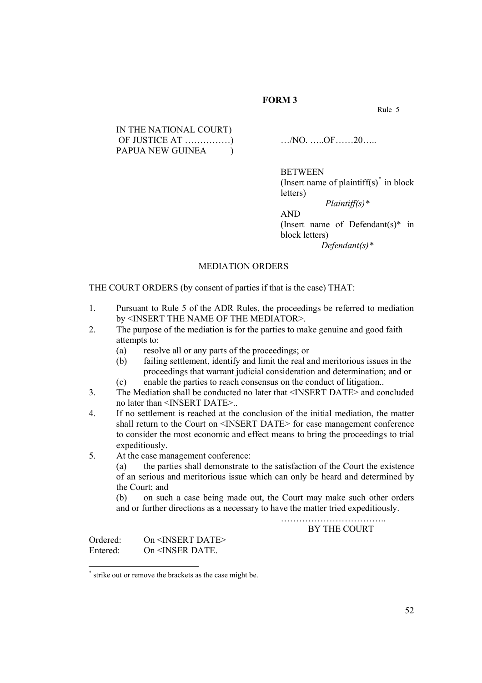# FORM 3

Rule 5

| IN THE NATIONAL COURT) |  |
|------------------------|--|
|                        |  |
| PAPUA NEW GUINEA       |  |

 $\ldots$ /NO.  $\ldots$ .OF……20……

BETWEEN

(Insert name of plaintiff(s) $*$  in block letters)

Plaintiff(s)\* AND (Insert name of Defendant(s)\* in block letters) Defendant(s)<sup>\*</sup>

#### MEDIATION ORDERS

THE COURT ORDERS (by consent of parties if that is the case) THAT:

- 1. Pursuant to Rule 5 of the ADR Rules, the proceedings be referred to mediation by <INSERT THE NAME OF THE MEDIATOR>.
- 2. The purpose of the mediation is for the parties to make genuine and good faith attempts to:
	- (a) resolve all or any parts of the proceedings; or
	- (b) failing settlement, identify and limit the real and meritorious issues in the proceedings that warrant judicial consideration and determination; and or (c) enable the parties to reach consensus on the conduct of litigation..
- 3. The Mediation shall be conducted no later that <INSERT DATE> and concluded no later than <INSERT DATE>..
- 4. If no settlement is reached at the conclusion of the initial mediation, the matter shall return to the Court on <INSERT DATE> for case management conference to consider the most economic and effect means to bring the proceedings to trial expeditiously.
- 5. At the case management conference:

(a) the parties shall demonstrate to the satisfaction of the Court the existence of an serious and meritorious issue which can only be heard and determined by the Court; and

(b) on such a case being made out, the Court may make such other orders and or further directions as a necessary to have the matter tried expeditiously.

> …………………………….. BY THE COURT

Ordered: On <INSERT DATE> Entered: On <INSER DATE.

<sup>\*</sup> strike out or remove the brackets as the case might be.